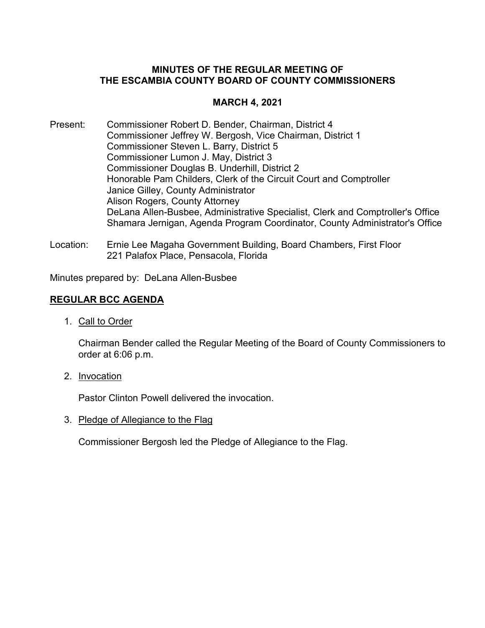# **MINUTES OF THE REGULAR MEETING OF THE ESCAMBIA COUNTY BOARD OF COUNTY COMMISSIONERS**

# **MARCH 4, 2021**

- Present: Commissioner Robert D. Bender, Chairman, District 4 Commissioner Jeffrey W. Bergosh, Vice Chairman, District 1 Commissioner Steven L. Barry, District 5 Commissioner Lumon J. May, District 3 Commissioner Douglas B. Underhill, District 2 Honorable Pam Childers, Clerk of the Circuit Court and Comptroller Janice Gilley, County Administrator Alison Rogers, County Attorney DeLana Allen-Busbee, Administrative Specialist, Clerk and Comptroller's Office Shamara Jernigan, Agenda Program Coordinator, County Administrator's Office
- Location: Ernie Lee Magaha Government Building, Board Chambers, First Floor 221 Palafox Place, Pensacola, Florida

Minutes prepared by: DeLana Allen-Busbee

# **REGULAR BCC AGENDA**

1. Call to Order

Chairman Bender called the Regular Meeting of the Board of County Commissioners to order at 6:06 p.m.

2. Invocation

Pastor Clinton Powell delivered the invocation.

3. Pledge of Allegiance to the Flag

Commissioner Bergosh led the Pledge of Allegiance to the Flag.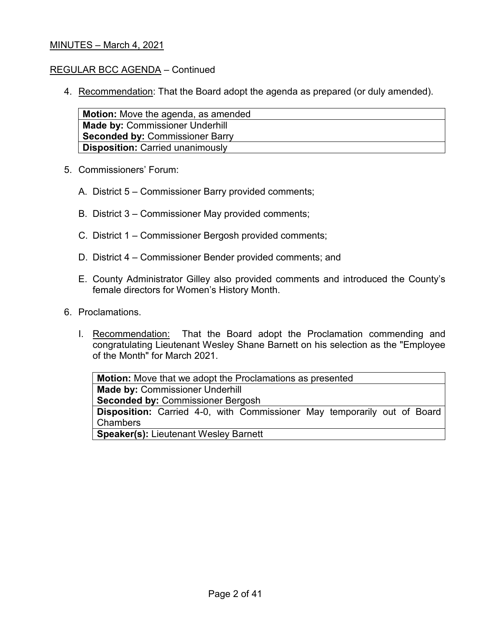### REGULAR BCC AGENDA – Continued

4. Recommendation: That the Board adopt the agenda as prepared (or duly amended).

| <b>Motion:</b> Move the agenda, as amended |
|--------------------------------------------|
| Made by: Commissioner Underhill            |
| <b>Seconded by: Commissioner Barry</b>     |
| <b>Disposition: Carried unanimously</b>    |

- 5. Commissioners' Forum:
	- A. District 5 Commissioner Barry provided comments;
	- B. District 3 Commissioner May provided comments;
	- C. District 1 Commissioner Bergosh provided comments;
	- D. District 4 Commissioner Bender provided comments; and
	- E. County Administrator Gilley also provided comments and introduced the County's female directors for Women's History Month.
- 6. Proclamations.
	- I. Recommendation: That the Board adopt the Proclamation commending and congratulating Lieutenant Wesley Shane Barnett on his selection as the "Employee of the Month" for March 2021.

**Motion:** Move that we adopt the Proclamations as presented **Made by:** Commissioner Underhill **Seconded by:** Commissioner Bergosh **Disposition:** Carried 4-0, with Commissioner May temporarily out of Board Chambers **Speaker(s):** Lieutenant Wesley Barnett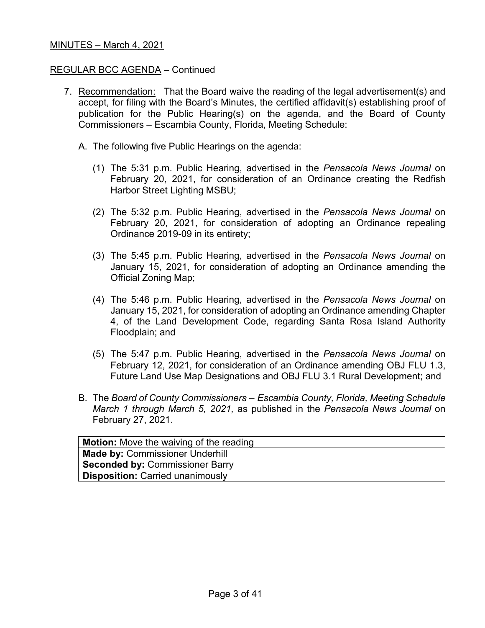#### REGULAR BCC AGENDA – Continued

- 7. Recommendation: That the Board waive the reading of the legal advertisement(s) and accept, for filing with the Board's Minutes, the certified affidavit(s) establishing proof of publication for the Public Hearing(s) on the agenda, and the Board of County Commissioners – Escambia County, Florida, Meeting Schedule:
	- A. The following five Public Hearings on the agenda:
		- (1) The 5:31 p.m. Public Hearing, advertised in the *Pensacola News Journal* on February 20, 2021, for consideration of an Ordinance creating the Redfish Harbor Street Lighting MSBU;
		- (2) The 5:32 p.m. Public Hearing, advertised in the *Pensacola News Journal* on February 20, 2021, for consideration of adopting an Ordinance repealing Ordinance 2019-09 in its entirety;
		- (3) The 5:45 p.m. Public Hearing, advertised in the *Pensacola News Journal* on January 15, 2021, for consideration of adopting an Ordinance amending the Official Zoning Map;
		- (4) The 5:46 p.m. Public Hearing, advertised in the *Pensacola News Journal* on January 15, 2021, for consideration of adopting an Ordinance amending Chapter 4, of the Land Development Code, regarding Santa Rosa Island Authority Floodplain; and
		- (5) The 5:47 p.m. Public Hearing, advertised in the *Pensacola News Journal* on February 12, 2021, for consideration of an Ordinance amending OBJ FLU 1.3, Future Land Use Map Designations and OBJ FLU 3.1 Rural Development; and
	- B. The *Board of County Commissioners – Escambia County, Florida, Meeting Schedule March 1 through March 5, 2021,* as published in the *Pensacola News Journal* on February 27, 2021.

| Motion: Move the waiving of the reading |
|-----------------------------------------|
| <b>Made by: Commissioner Underhill</b>  |
| <b>Seconded by: Commissioner Barry</b>  |
| <b>Disposition: Carried unanimously</b> |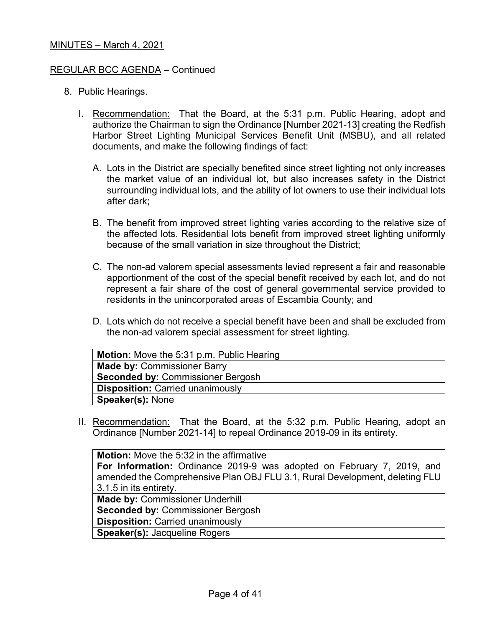#### REGULAR BCC AGENDA – Continued

- 8. Public Hearings.
	- I. Recommendation: That the Board, at the 5:31 p.m. Public Hearing, adopt and authorize the Chairman to sign the Ordinance [Number 2021-13] creating the Redfish Harbor Street Lighting Municipal Services Benefit Unit (MSBU), and all related documents, and make the following findings of fact:
		- A. Lots in the District are specially benefited since street lighting not only increases the market value of an individual lot, but also increases safety in the District surrounding individual lots, and the ability of lot owners to use their individual lots after dark;
		- B. The benefit from improved street lighting varies according to the relative size of the affected lots. Residential lots benefit from improved street lighting uniformly because of the small variation in size throughout the District;
		- C. The non-ad valorem special assessments levied represent a fair and reasonable apportionment of the cost of the special benefit received by each lot, and do not represent a fair share of the cost of general governmental service provided to residents in the unincorporated areas of Escambia County; and
		- D. Lots which do not receive a special benefit have been and shall be excluded from the non-ad valorem special assessment for street lighting.

| Motion: Move the 5:31 p.m. Public Hearing |  |
|-------------------------------------------|--|
| <b>Made by: Commissioner Barry</b>        |  |
| <b>Seconded by: Commissioner Bergosh</b>  |  |
| <b>Disposition: Carried unanimously</b>   |  |
| <b>Speaker(s): None</b>                   |  |

II. Recommendation: That the Board, at the 5:32 p.m. Public Hearing, adopt an Ordinance [Number 2021-14] to repeal Ordinance 2019-09 in its entirety.

**Motion:** Move the 5:32 in the affirmative **For Information:** Ordinance 2019-9 was adopted on February 7, 2019, and amended the Comprehensive Plan OBJ FLU 3.1, Rural Development, deleting FLU 3.1.5 in its entirety. **Made by:** Commissioner Underhill **Seconded by:** Commissioner Bergosh **Disposition:** Carried unanimously

**Speaker(s):** Jacqueline Rogers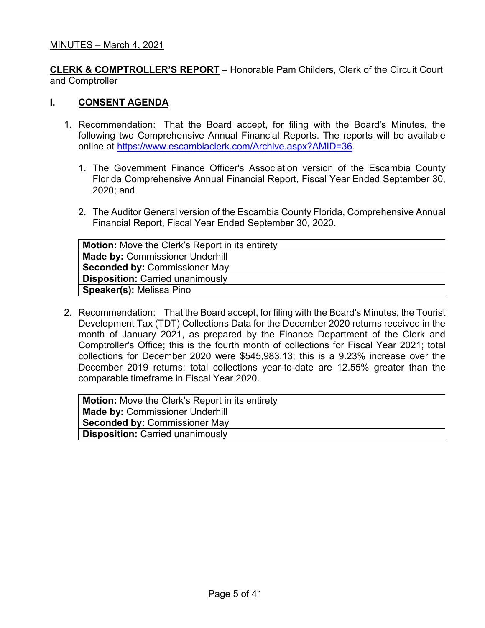**CLERK & COMPTROLLER'S REPORT** – Honorable Pam Childers, Clerk of the Circuit Court and Comptroller

### **I. CONSENT AGENDA**

- 1. Recommendation: That the Board accept, for filing with the Board's Minutes, the following two Comprehensive Annual Financial Reports. The reports will be available online at [https://www.escambiaclerk.com/Archive.aspx?AMID=36.](https://www.escambiaclerk.com/Archive.aspx?AMID=36)
	- 1. The Government Finance Officer's Association version of the Escambia County Florida Comprehensive Annual Financial Report, Fiscal Year Ended September 30, 2020; and
	- 2. The Auditor General version of the Escambia County Florida, Comprehensive Annual Financial Report, Fiscal Year Ended September 30, 2020.

| <b>Motion:</b> Move the Clerk's Report in its entirety |  |
|--------------------------------------------------------|--|
| <b>Made by: Commissioner Underhill</b>                 |  |
| <b>Seconded by: Commissioner May</b>                   |  |
| <b>Disposition: Carried unanimously</b>                |  |
| <b>Speaker(s): Melissa Pino</b>                        |  |

2. Recommendation: That the Board accept, for filing with the Board's Minutes, the Tourist Development Tax (TDT) Collections Data for the December 2020 returns received in the month of January 2021, as prepared by the Finance Department of the Clerk and Comptroller's Office; this is the fourth month of collections for Fiscal Year 2021; total collections for December 2020 were \$545,983.13; this is a 9.23% increase over the December 2019 returns; total collections year-to-date are 12.55% greater than the comparable timeframe in Fiscal Year 2020.

| <b>Made by: Commissioner Underhill</b>  |
|-----------------------------------------|
| <b>Seconded by: Commissioner May</b>    |
| <b>Disposition: Carried unanimously</b> |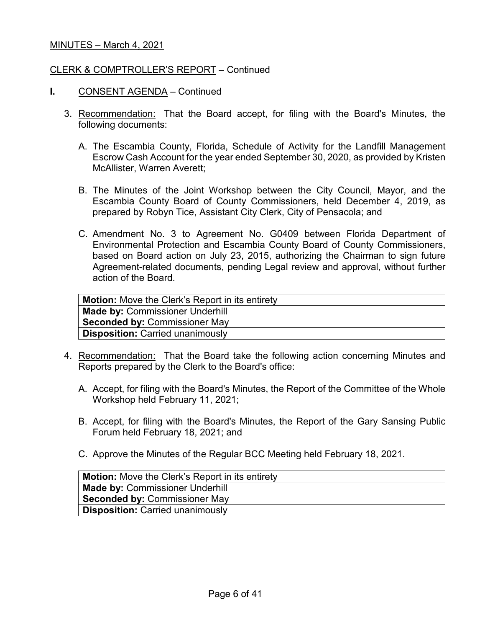### CLERK & COMPTROLLER'S REPORT – Continued

- **I.** CONSENT AGENDA Continued
	- 3. Recommendation: That the Board accept, for filing with the Board's Minutes, the following documents:
		- A. The Escambia County, Florida, Schedule of Activity for the Landfill Management Escrow Cash Account for the year ended September 30, 2020, as provided by Kristen McAllister, Warren Averett;
		- B. The Minutes of the Joint Workshop between the City Council, Mayor, and the Escambia County Board of County Commissioners, held December 4, 2019, as prepared by Robyn Tice, Assistant City Clerk, City of Pensacola; and
		- C. Amendment No. 3 to Agreement No. G0409 between Florida Department of Environmental Protection and Escambia County Board of County Commissioners, based on Board action on July 23, 2015, authorizing the Chairman to sign future Agreement-related documents, pending Legal review and approval, without further action of the Board.

| <b>Motion:</b> Move the Clerk's Report in its entirety |
|--------------------------------------------------------|
| <b>Made by: Commissioner Underhill</b>                 |
| <b>Seconded by: Commissioner May</b>                   |
| <b>Disposition: Carried unanimously</b>                |
|                                                        |

- 4. Recommendation: That the Board take the following action concerning Minutes and Reports prepared by the Clerk to the Board's office:
	- A. Accept, for filing with the Board's Minutes, the Report of the Committee of the Whole Workshop held February 11, 2021;
	- B. Accept, for filing with the Board's Minutes, the Report of the Gary Sansing Public Forum held February 18, 2021; and
	- C. Approve the Minutes of the Regular BCC Meeting held February 18, 2021.

| <b>Motion:</b> Move the Clerk's Report in its entirety |
|--------------------------------------------------------|
| <b>Made by: Commissioner Underhill</b>                 |
| <b>Seconded by: Commissioner May</b>                   |
| <b>Disposition: Carried unanimously</b>                |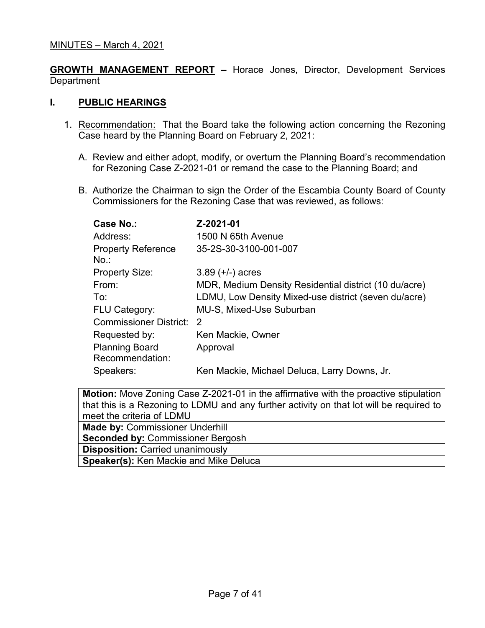**GROWTH MANAGEMENT REPORT –** Horace Jones, Director, Development Services **Department** 

## **I. PUBLIC HEARINGS**

- 1. Recommendation: That the Board take the following action concerning the Rezoning Case heard by the Planning Board on February 2, 2021:
	- A. Review and either adopt, modify, or overturn the Planning Board's recommendation for Rezoning Case Z-2021-01 or remand the case to the Planning Board; and
	- B. Authorize the Chairman to sign the Order of the Escambia County Board of County Commissioners for the Rezoning Case that was reviewed, as follows:

| Case No.:                                | Z-2021-01                                             |
|------------------------------------------|-------------------------------------------------------|
| Address:                                 | 1500 N 65th Avenue                                    |
| <b>Property Reference</b><br>No.         | 35-2S-30-3100-001-007                                 |
| <b>Property Size:</b>                    | $3.89 (+/-)$ acres                                    |
| From:                                    | MDR, Medium Density Residential district (10 du/acre) |
| To:                                      | LDMU, Low Density Mixed-use district (seven du/acre)  |
| <b>FLU Category:</b>                     | <b>MU-S, Mixed-Use Suburban</b>                       |
| Commissioner District:                   | $\mathcal{P}$                                         |
| Requested by:                            | Ken Mackie, Owner                                     |
| <b>Planning Board</b><br>Recommendation: | Approval                                              |
| Speakers:                                | Ken Mackie, Michael Deluca, Larry Downs, Jr.          |

| <b>Motion:</b> Move Zoning Case Z-2021-01 in the affirmative with the proactive stipulation |  |  |
|---------------------------------------------------------------------------------------------|--|--|
| that this is a Rezoning to LDMU and any further activity on that lot will be required to    |  |  |
| meet the criteria of LDMU                                                                   |  |  |
| <b>Made by: Commissioner Underhill</b>                                                      |  |  |
| <b>Seconded by: Commissioner Bergosh</b>                                                    |  |  |
| <b>Disposition: Carried unanimously</b>                                                     |  |  |
| <b>Speaker(s): Ken Mackie and Mike Delucally</b>                                            |  |  |
|                                                                                             |  |  |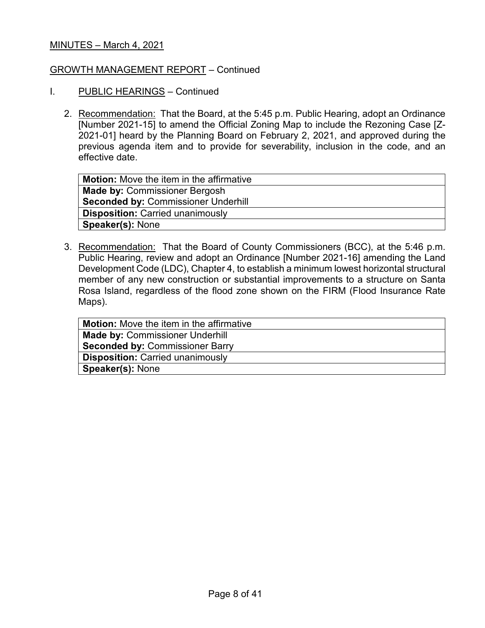### GROWTH MANAGEMENT REPORT – Continued

- I. PUBLIC HEARINGS Continued
	- 2. Recommendation: That the Board, at the 5:45 p.m. Public Hearing, adopt an Ordinance [Number 2021-15] to amend the Official Zoning Map to include the Rezoning Case [Z-2021-01] heard by the Planning Board on February 2, 2021, and approved during the previous agenda item and to provide for severability, inclusion in the code, and an effective date.

| <b>Motion:</b> Move the item in the affirmative |
|-------------------------------------------------|
| <b>Made by: Commissioner Bergosh</b>            |
| <b>Seconded by: Commissioner Underhill</b>      |
| <b>Disposition: Carried unanimously</b>         |
| <b>Speaker(s): None</b>                         |

3. Recommendation: That the Board of County Commissioners (BCC), at the 5:46 p.m. Public Hearing, review and adopt an Ordinance [Number 2021-16] amending the Land Development Code (LDC), Chapter 4, to establish a minimum lowest horizontal structural member of any new construction or substantial improvements to a structure on Santa Rosa Island, regardless of the flood zone shown on the FIRM (Flood Insurance Rate Maps).

| <b>Motion:</b> Move the item in the affirmative |
|-------------------------------------------------|
| <b>Made by: Commissioner Underhill</b>          |
| <b>Seconded by: Commissioner Barry</b>          |
| <b>Disposition: Carried unanimously</b>         |
| <b>Speaker(s): None</b>                         |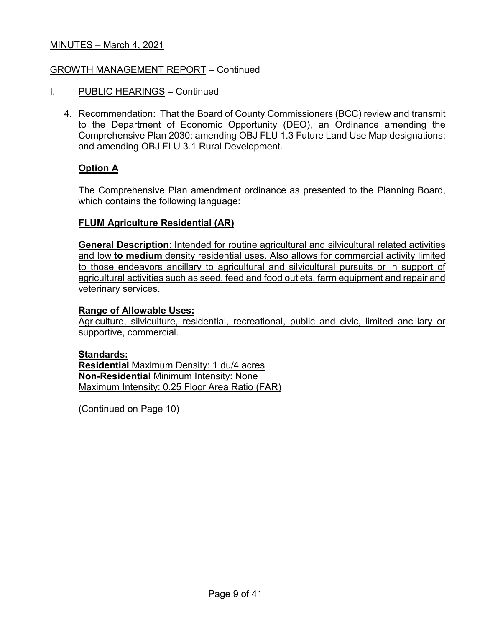## GROWTH MANAGEMENT REPORT – Continued

- I. PUBLIC HEARINGS Continued
	- 4. Recommendation: That the Board of County Commissioners (BCC) review and transmit to the Department of Economic Opportunity (DEO), an Ordinance amending the Comprehensive Plan 2030: amending OBJ FLU 1.3 Future Land Use Map designations; and amending OBJ FLU 3.1 Rural Development.

## **Option A**

The Comprehensive Plan amendment ordinance as presented to the Planning Board, which contains the following language:

### **FLUM Agriculture Residential (AR)**

**General Description**: Intended for routine agricultural and silvicultural related activities and low **to medium** density residential uses. Also allows for commercial activity limited to those endeavors ancillary to agricultural and silvicultural pursuits or in support of agricultural activities such as seed, feed and food outlets, farm equipment and repair and veterinary services.

### **Range of Allowable Uses:**

Agriculture, silviculture, residential, recreational, public and civic, limited ancillary or supportive, commercial.

#### **Standards:**

**Residential** Maximum Density: 1 du/4 acres **Non-Residential** Minimum Intensity: None Maximum Intensity: 0.25 Floor Area Ratio (FAR)

(Continued on Page 10)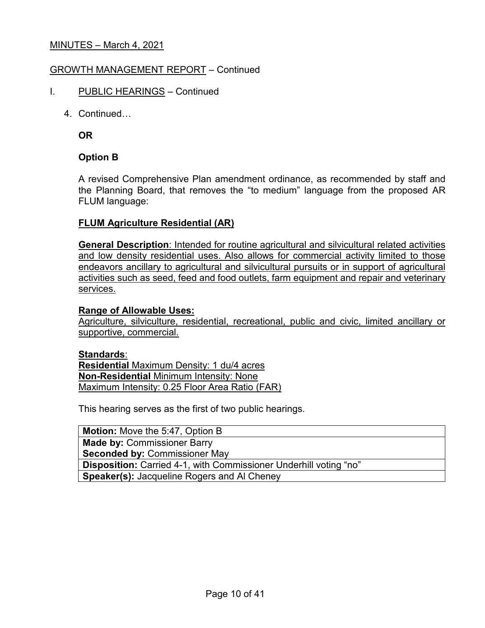## GROWTH MANAGEMENT REPORT – Continued

- I. PUBLIC HEARINGS Continued
	- 4. Continued…

**OR**

## **Option B**

A revised Comprehensive Plan amendment ordinance, as recommended by staff and the Planning Board, that removes the "to medium" language from the proposed AR FLUM language:

### **FLUM Agriculture Residential (AR)**

**General Description**: Intended for routine agricultural and silvicultural related activities and low density residential uses. Also allows for commercial activity limited to those endeavors ancillary to agricultural and silvicultural pursuits or in support of agricultural activities such as seed, feed and food outlets, farm equipment and repair and veterinary services.

### **Range of Allowable Uses:**

Agriculture, silviculture, residential, recreational, public and civic, limited ancillary or supportive, commercial.

#### **Standards**:

**Residential** Maximum Density: 1 du/4 acres **Non-Residential** Minimum Intensity: None Maximum Intensity: 0.25 Floor Area Ratio (FAR)

This hearing serves as the first of two public hearings.

**Motion:** Move the 5:47, Option B **Made by:** Commissioner Barry **Seconded by:** Commissioner May **Disposition:** Carried 4-1, with Commissioner Underhill voting "no" **Speaker(s):** Jacqueline Rogers and Al Cheney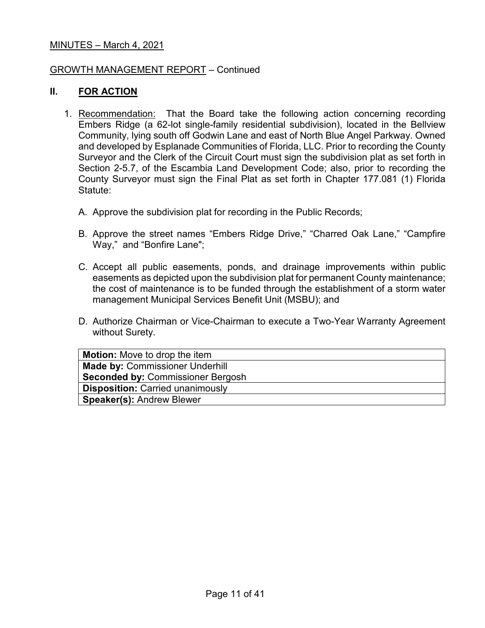#### GROWTH MANAGEMENT REPORT – Continued

#### **II. FOR ACTION**

- 1. Recommendation: That the Board take the following action concerning recording Embers Ridge (a 62-lot single-family residential subdivision), located in the Bellview Community, lying south off Godwin Lane and east of North Blue Angel Parkway. Owned and developed by Esplanade Communities of Florida, LLC. Prior to recording the County Surveyor and the Clerk of the Circuit Court must sign the subdivision plat as set forth in Section 2-5.7, of the Escambia Land Development Code; also, prior to recording the County Surveyor must sign the Final Plat as set forth in Chapter 177.081 (1) Florida Statute:
	- A. Approve the subdivision plat for recording in the Public Records;
	- B. Approve the street names "Embers Ridge Drive," "Charred Oak Lane," "Campfire Way," and "Bonfire Lane";
	- C. Accept all public easements, ponds, and drainage improvements within public easements as depicted upon the subdivision plat for permanent County maintenance; the cost of maintenance is to be funded through the establishment of a storm water management Municipal Services Benefit Unit (MSBU); and
	- D. Authorize Chairman or Vice-Chairman to execute a Two-Year Warranty Agreement without Surety.

| <b>Motion:</b> Move to drop the item     |
|------------------------------------------|
| <b>Made by: Commissioner Underhill</b>   |
| <b>Seconded by: Commissioner Bergosh</b> |
| <b>Disposition: Carried unanimously</b>  |
| <b>Speaker(s): Andrew Blewer</b>         |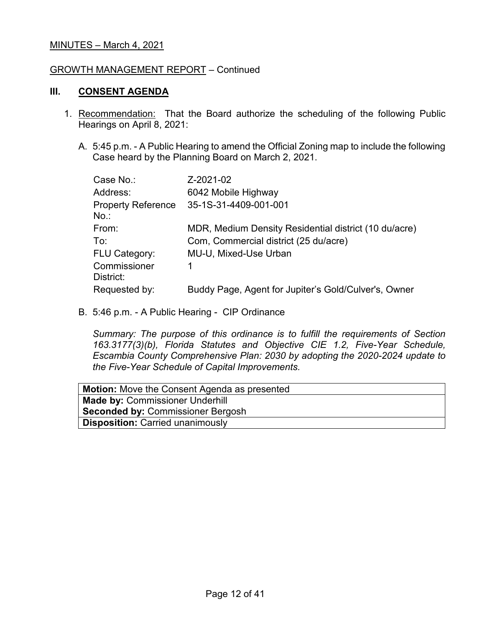#### GROWTH MANAGEMENT REPORT – Continued

### **III. CONSENT AGENDA**

- 1. Recommendation: That the Board authorize the scheduling of the following Public Hearings on April 8, 2021:
	- A. 5:45 p.m. A Public Hearing to amend the Official Zoning map to include the following Case heard by the Planning Board on March 2, 2021.

| Case No.:                            | Z-2021-02                                             |
|--------------------------------------|-------------------------------------------------------|
| Address:                             | 6042 Mobile Highway                                   |
| <b>Property Reference</b><br>$No.$ : | 35-1S-31-4409-001-001                                 |
| From:                                | MDR, Medium Density Residential district (10 du/acre) |
| To:                                  | Com, Commercial district (25 du/acre)                 |
| <b>FLU Category:</b>                 | MU-U, Mixed-Use Urban                                 |
| Commissioner<br>District:            |                                                       |
| Requested by:                        | Buddy Page, Agent for Jupiter's Gold/Culver's, Owner  |

B. 5:46 p.m. - A Public Hearing - CIP Ordinance

*Summary: The purpose of this ordinance is to fulfill the requirements of Section 163.3177(3)(b), Florida Statutes and Objective CIE 1.2, Five-Year Schedule, Escambia County Comprehensive Plan: 2030 by adopting the 2020-2024 update to the Five-Year Schedule of Capital Improvements.*

| <b>Motion:</b> Move the Consent Agenda as presented |
|-----------------------------------------------------|
| <b>Made by: Commissioner Underhill</b>              |
| <b>Seconded by: Commissioner Bergosh</b>            |
| <b>Disposition: Carried unanimously</b>             |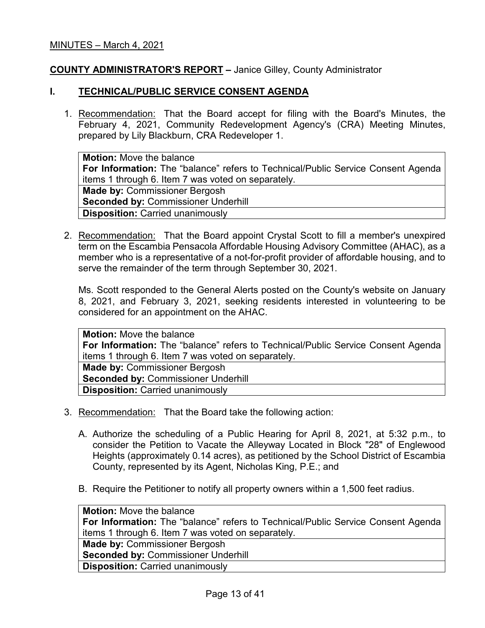## **COUNTY ADMINISTRATOR'S REPORT –** Janice Gilley, County Administrator

#### **I. TECHNICAL/PUBLIC SERVICE CONSENT AGENDA**

1. Recommendation: That the Board accept for filing with the Board's Minutes, the February 4, 2021, Community Redevelopment Agency's (CRA) Meeting Minutes, prepared by Lily Blackburn, CRA Redeveloper 1.

**Motion:** Move the balance **For Information:** The "balance" refers to Technical/Public Service Consent Agenda items 1 through 6. Item 7 was voted on separately. **Made by:** Commissioner Bergosh **Seconded by: Commissioner Underhill Disposition:** Carried unanimously

2. Recommendation: That the Board appoint Crystal Scott to fill a member's unexpired term on the Escambia Pensacola Affordable Housing Advisory Committee (AHAC), as a member who is a representative of a not-for-profit provider of affordable housing, and to serve the remainder of the term through September 30, 2021.

Ms. Scott responded to the General Alerts posted on the County's website on January 8, 2021, and February 3, 2021, seeking residents interested in volunteering to be considered for an appointment on the AHAC.

**Motion:** Move the balance **For Information:** The "balance" refers to Technical/Public Service Consent Agenda items 1 through 6. Item 7 was voted on separately. **Made by:** Commissioner Bergosh **Seconded by: Commissioner Underhill Disposition:** Carried unanimously

- 3. Recommendation: That the Board take the following action:
	- A. Authorize the scheduling of a Public Hearing for April 8, 2021, at 5:32 p.m., to consider the Petition to Vacate the Alleyway Located in Block "28" of Englewood Heights (approximately 0.14 acres), as petitioned by the School District of Escambia County, represented by its Agent, Nicholas King, P.E.; and
	- B. Require the Petitioner to notify all property owners within a 1,500 feet radius.

**Motion:** Move the balance **For Information:** The "balance" refers to Technical/Public Service Consent Agenda items 1 through 6. Item 7 was voted on separately. **Made by:** Commissioner Bergosh **Seconded by:** Commissioner Underhill **Disposition:** Carried unanimously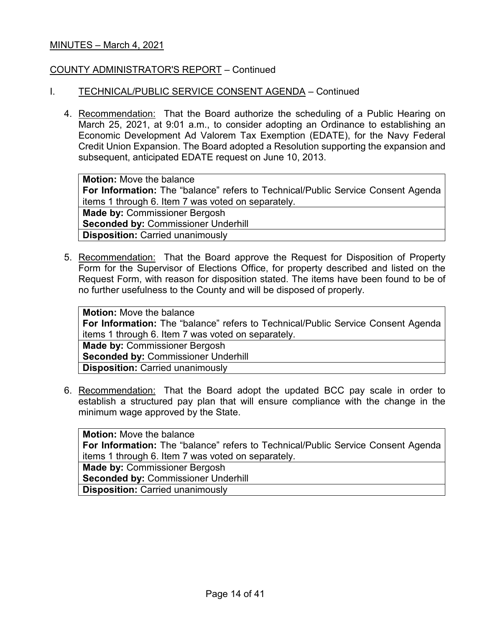### COUNTY ADMINISTRATOR'S REPORT – Continued

### I. TECHNICAL/PUBLIC SERVICE CONSENT AGENDA – Continued

4. Recommendation: That the Board authorize the scheduling of a Public Hearing on March 25, 2021, at 9:01 a.m., to consider adopting an Ordinance to establishing an Economic Development Ad Valorem Tax Exemption (EDATE), for the Navy Federal Credit Union Expansion. The Board adopted a Resolution supporting the expansion and subsequent, anticipated EDATE request on June 10, 2013.

**Motion:** Move the balance **For Information:** The "balance" refers to Technical/Public Service Consent Agenda items 1 through 6. Item 7 was voted on separately. **Made by:** Commissioner Bergosh **Seconded by:** Commissioner Underhill **Disposition:** Carried unanimously

5. Recommendation: That the Board approve the Request for Disposition of Property Form for the Supervisor of Elections Office, for property described and listed on the Request Form, with reason for disposition stated. The items have been found to be of no further usefulness to the County and will be disposed of properly.

**Motion:** Move the balance **For Information:** The "balance" refers to Technical/Public Service Consent Agenda items 1 through 6. Item 7 was voted on separately. **Made by:** Commissioner Bergosh **Seconded by:** Commissioner Underhill **Disposition:** Carried unanimously

6. Recommendation: That the Board adopt the updated BCC pay scale in order to establish a structured pay plan that will ensure compliance with the change in the minimum wage approved by the State.

**Motion:** Move the balance **For Information:** The "balance" refers to Technical/Public Service Consent Agenda items 1 through 6. Item 7 was voted on separately. **Made by:** Commissioner Bergosh **Seconded by:** Commissioner Underhill **Disposition:** Carried unanimously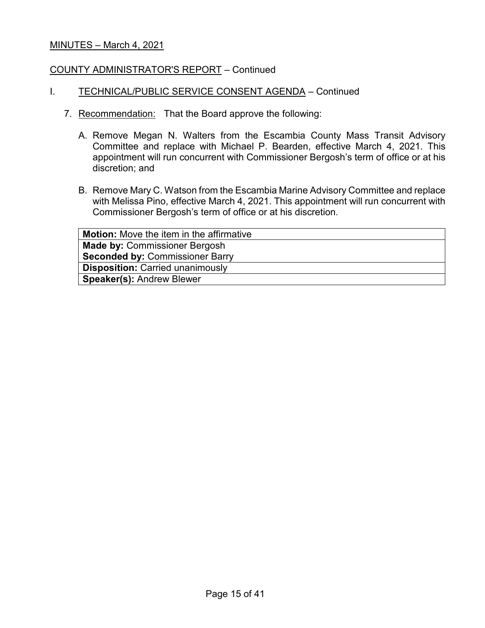### COUNTY ADMINISTRATOR'S REPORT – Continued

### I. TECHNICAL/PUBLIC SERVICE CONSENT AGENDA - Continued

- 7. Recommendation: That the Board approve the following:
	- A. Remove Megan N. Walters from the Escambia County Mass Transit Advisory Committee and replace with Michael P. Bearden, effective March 4, 2021. This appointment will run concurrent with Commissioner Bergosh's term of office or at his discretion; and
	- B. Remove Mary C. Watson from the Escambia Marine Advisory Committee and replace with Melissa Pino, effective March 4, 2021. This appointment will run concurrent with Commissioner Bergosh's term of office or at his discretion.

| <b>Motion:</b> Move the item in the affirmative |
|-------------------------------------------------|
| <b>Made by: Commissioner Bergosh</b>            |
| <b>Seconded by: Commissioner Barry</b>          |
| <b>Disposition: Carried unanimously</b>         |
| <b>Speaker(s): Andrew Blewer</b>                |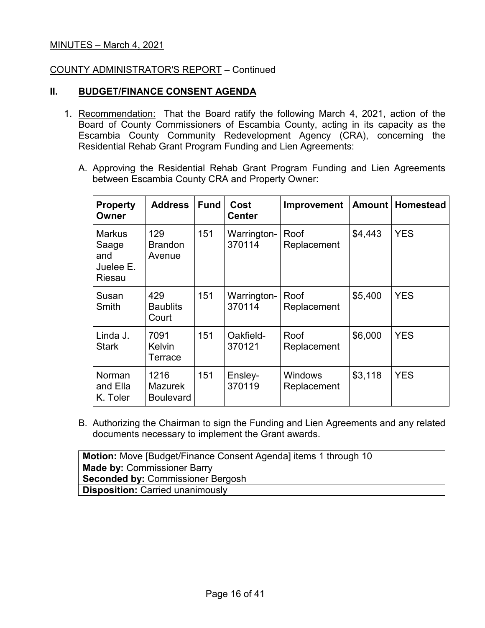### COUNTY ADMINISTRATOR'S REPORT – Continued

## **II. BUDGET/FINANCE CONSENT AGENDA**

- 1. Recommendation: That the Board ratify the following March 4, 2021, action of the Board of County Commissioners of Escambia County, acting in its capacity as the Escambia County Community Redevelopment Agency (CRA), concerning the Residential Rehab Grant Program Funding and Lien Agreements:
	- A. Approving the Residential Rehab Grant Program Funding and Lien Agreements between Escambia County CRA and Property Owner:

| <b>Property</b><br>Owner                             | <b>Address</b>                             | <b>Fund</b> | Cost<br><b>Center</b> | <b>Improvement</b>            | Amount  | <b>Homestead</b> |
|------------------------------------------------------|--------------------------------------------|-------------|-----------------------|-------------------------------|---------|------------------|
| <b>Markus</b><br>Saage<br>and<br>Juelee E.<br>Riesau | 129<br><b>Brandon</b><br>Avenue            | 151         | Warrington-<br>370114 | Roof<br>Replacement           | \$4,443 | <b>YES</b>       |
| Susan<br>Smith                                       | 429<br><b>Baublits</b><br>Court            | 151         | Warrington-<br>370114 | Roof<br>Replacement           | \$5,400 | <b>YES</b>       |
| Linda J.<br><b>Stark</b>                             | 7091<br><b>Kelvin</b><br>Terrace           | 151         | Oakfield-<br>370121   | Roof<br>Replacement           | \$6,000 | <b>YES</b>       |
| Norman<br>and Ella<br>K. Toler                       | 1216<br><b>Mazurek</b><br><b>Boulevard</b> | 151         | Ensley-<br>370119     | <b>Windows</b><br>Replacement | \$3,118 | <b>YES</b>       |

B. Authorizing the Chairman to sign the Funding and Lien Agreements and any related documents necessary to implement the Grant awards.

| <b>Motion:</b> Move [Budget/Finance Consent Agenda] items 1 through 10 |
|------------------------------------------------------------------------|
| <b>Made by: Commissioner Barry</b>                                     |
| <b>Seconded by: Commissioner Bergosh</b>                               |
| <b>Disposition: Carried unanimously</b>                                |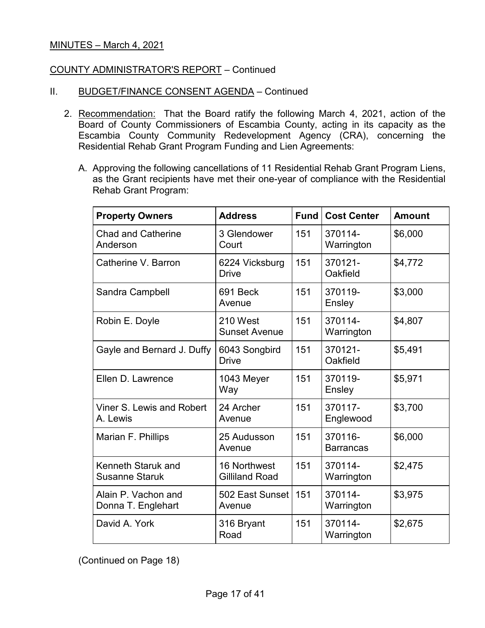### COUNTY ADMINISTRATOR'S REPORT – Continued

- II. BUDGET/FINANCE CONSENT AGENDA Continued
	- 2. Recommendation: That the Board ratify the following March 4, 2021, action of the Board of County Commissioners of Escambia County, acting in its capacity as the Escambia County Community Redevelopment Agency (CRA), concerning the Residential Rehab Grant Program Funding and Lien Agreements:
		- A. Approving the following cancellations of 11 Residential Rehab Grant Program Liens, as the Grant recipients have met their one-year of compliance with the Residential Rehab Grant Program:

| <b>Property Owners</b>                    | <b>Address</b>                        | <b>Fund</b> | <b>Cost Center</b>          | <b>Amount</b> |
|-------------------------------------------|---------------------------------------|-------------|-----------------------------|---------------|
| <b>Chad and Catherine</b><br>Anderson     | 3 Glendower<br>Court                  | 151         | 370114-<br>Warrington       | \$6,000       |
| Catherine V. Barron                       | 6224 Vicksburg<br><b>Drive</b>        | 151         | 370121-<br>Oakfield         | \$4,772       |
| Sandra Campbell                           | 691 Beck<br>Avenue                    | 151         | 370119-<br>Ensley           | \$3,000       |
| Robin E. Doyle                            | 210 West<br><b>Sunset Avenue</b>      | 151         | 370114-<br>Warrington       | \$4,807       |
| Gayle and Bernard J. Duffy                | 6043 Songbird<br><b>Drive</b>         | 151         | 370121-<br>Oakfield         | \$5,491       |
| Ellen D. Lawrence                         | 1043 Meyer<br>Way                     | 151         | 370119-<br>Ensley           | \$5,971       |
| Viner S. Lewis and Robert<br>A. Lewis     | 24 Archer<br>Avenue                   | 151         | 370117-<br>Englewood        | \$3,700       |
| Marian F. Phillips                        | 25 Audusson<br>Avenue                 | 151         | 370116-<br><b>Barrancas</b> | \$6,000       |
| Kenneth Staruk and<br>Susanne Staruk      | 16 Northwest<br><b>Gilliland Road</b> | 151         | 370114-<br>Warrington       | \$2,475       |
| Alain P. Vachon and<br>Donna T. Englehart | 502 East Sunset<br>Avenue             | 151         | 370114-<br>Warrington       | \$3,975       |
| David A. York                             | 316 Bryant<br>Road                    | 151         | 370114-<br>Warrington       | \$2,675       |

(Continued on Page 18)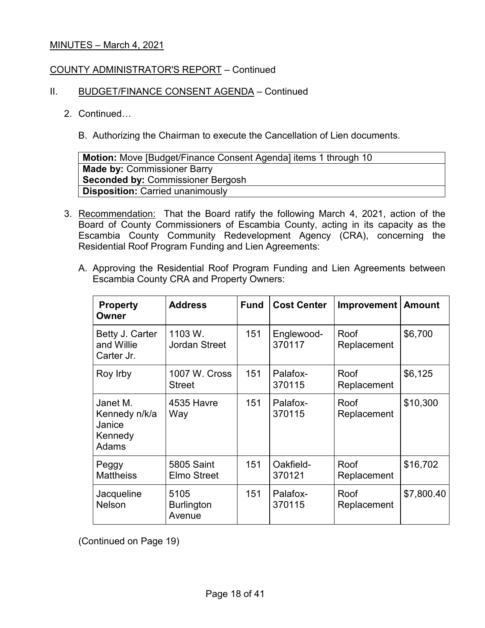### COUNTY ADMINISTRATOR'S REPORT – Continued

### II. BUDGET/FINANCE CONSENT AGENDA - Continued

### 2. Continued…

B. Authorizing the Chairman to execute the Cancellation of Lien documents.

| <b>Motion:</b> Move [Budget/Finance Consent Agenda] items 1 through 10 |
|------------------------------------------------------------------------|
| <b>Made by: Commissioner Barry</b>                                     |
| <b>Seconded by: Commissioner Bergosh</b>                               |
| <b>Disposition: Carried unanimously</b>                                |

- 3. Recommendation: That the Board ratify the following March 4, 2021, action of the Board of County Commissioners of Escambia County, acting in its capacity as the Escambia County Community Redevelopment Agency (CRA), concerning the Residential Roof Program Funding and Lien Agreements:
	- A. Approving the Residential Roof Program Funding and Lien Agreements between Escambia County CRA and Property Owners:

| <b>Property</b><br>Owner                                | <b>Address</b>                          | <b>Fund</b> | <b>Cost Center</b>   | <b>Improvement</b>  | <b>Amount</b> |
|---------------------------------------------------------|-----------------------------------------|-------------|----------------------|---------------------|---------------|
| Betty J. Carter<br>and Willie<br>Carter Jr.             | 1103 W.<br><b>Jordan Street</b>         | 151         | Englewood-<br>370117 | Roof<br>Replacement | \$6,700       |
| Roy Irby                                                | 1007 W. Cross<br><b>Street</b>          | 151         | Palafox-<br>370115   | Roof<br>Replacement | \$6,125       |
| Janet M.<br>Kennedy n/k/a<br>Janice<br>Kennedy<br>Adams | 4535 Havre<br>Way                       | 151         | Palafox-<br>370115   | Roof<br>Replacement | \$10,300      |
| Peggy<br><b>Mattheiss</b>                               | <b>5805 Saint</b><br><b>Elmo Street</b> | 151         | Oakfield-<br>370121  | Roof<br>Replacement | \$16,702      |
| Jacqueline<br><b>Nelson</b>                             | 5105<br><b>Burlington</b><br>Avenue     | 151         | Palafox-<br>370115   | Roof<br>Replacement | \$7,800.40    |

(Continued on Page 19)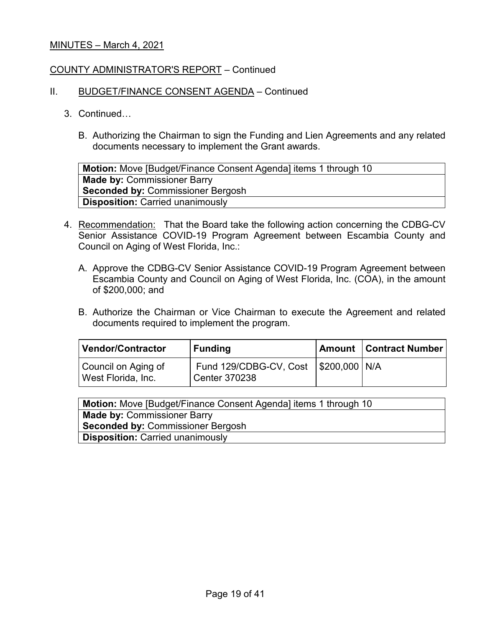### COUNTY ADMINISTRATOR'S REPORT – Continued

### II. BUDGET/FINANCE CONSENT AGENDA - Continued

- 3. Continued…
	- B. Authorizing the Chairman to sign the Funding and Lien Agreements and any related documents necessary to implement the Grant awards.

**Motion:** Move [Budget/Finance Consent Agenda] items 1 through 10 **Made by:** Commissioner Barry **Seconded by:** Commissioner Bergosh **Disposition:** Carried unanimously

- 4. Recommendation: That the Board take the following action concerning the CDBG-CV Senior Assistance COVID-19 Program Agreement between Escambia County and Council on Aging of West Florida, Inc.:
	- A. Approve the CDBG-CV Senior Assistance COVID-19 Program Agreement between Escambia County and Council on Aging of West Florida, Inc. (COA), in the amount of \$200,000; and
	- B. Authorize the Chairman or Vice Chairman to execute the Agreement and related documents required to implement the program.

| Vendor/Contractor                         | <b>Funding</b>                                                   | <b>Amount   Contract Number</b> |
|-------------------------------------------|------------------------------------------------------------------|---------------------------------|
| Council on Aging of<br>West Florida, Inc. | Fund 129/CDBG-CV, Cost   \$200,000   N/A<br><b>Center 370238</b> |                                 |

| <b>Motion:</b> Move [Budget/Finance Consent Agenda] items 1 through 10 |
|------------------------------------------------------------------------|
| <b>Made by: Commissioner Barry</b>                                     |
| <b>Seconded by: Commissioner Bergosh</b>                               |
| <b>Disposition: Carried unanimously</b>                                |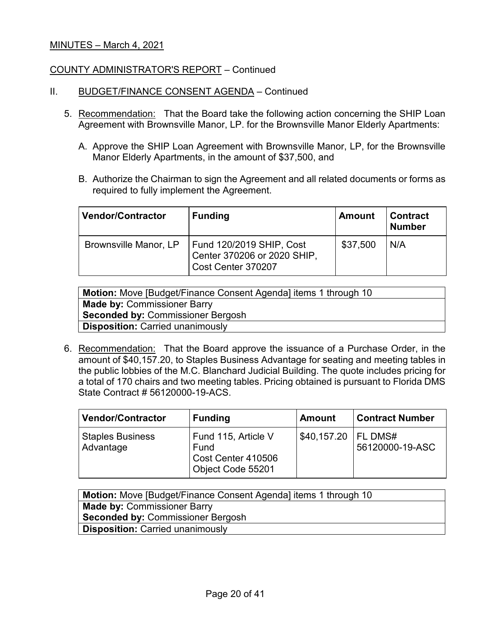### COUNTY ADMINISTRATOR'S REPORT – Continued

- II. BUDGET/FINANCE CONSENT AGENDA Continued
	- 5. Recommendation: That the Board take the following action concerning the SHIP Loan Agreement with Brownsville Manor, LP. for the Brownsville Manor Elderly Apartments:
		- A. Approve the SHIP Loan Agreement with Brownsville Manor, LP, for the Brownsville Manor Elderly Apartments, in the amount of \$37,500, and
		- B. Authorize the Chairman to sign the Agreement and all related documents or forms as required to fully implement the Agreement.

| <b>Vendor/Contractor</b> | <b>Funding</b>                                                                | <b>Amount</b> | <b>Contract</b><br><b>Number</b> |
|--------------------------|-------------------------------------------------------------------------------|---------------|----------------------------------|
| Brownsville Manor, LP    | Fund 120/2019 SHIP, Cost<br>Center 370206 or 2020 SHIP,<br>Cost Center 370207 | \$37,500      | N/A                              |

| <b>Motion:</b> Move [Budget/Finance Consent Agenda] items 1 through 10 |
|------------------------------------------------------------------------|
| <b>Made by: Commissioner Barry</b>                                     |
| <b>Seconded by: Commissioner Bergosh</b>                               |
| <b>Disposition: Carried unanimously</b>                                |

6. Recommendation: That the Board approve the issuance of a Purchase Order, in the amount of \$40,157.20, to Staples Business Advantage for seating and meeting tables in the public lobbies of the M.C. Blanchard Judicial Building. The quote includes pricing for a total of 170 chairs and two meeting tables. Pricing obtained is pursuant to Florida DMS State Contract # 56120000-19-ACS.

| <b>Vendor/Contractor</b>             | <b>Funding</b>                                                         | <b>Amount</b> | <b>Contract Number</b>       |
|--------------------------------------|------------------------------------------------------------------------|---------------|------------------------------|
| <b>Staples Business</b><br>Advantage | Fund 115, Article V<br>Fund<br>Cost Center 410506<br>Object Code 55201 | \$40,157.20   | I FL DMS#<br>56120000-19-ASC |

| <b>Motion:</b> Move [Budget/Finance Consent Agenda] items 1 through 10 |  |  |
|------------------------------------------------------------------------|--|--|
| <b>Made by: Commissioner Barry</b>                                     |  |  |
| <b>Seconded by: Commissioner Bergosh</b>                               |  |  |
| <b>Disposition: Carried unanimously</b>                                |  |  |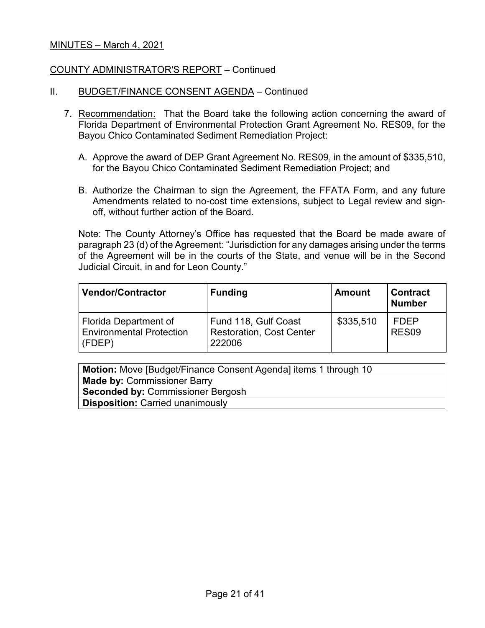#### COUNTY ADMINISTRATOR'S REPORT – Continued

- II. BUDGET/FINANCE CONSENT AGENDA Continued
	- 7. Recommendation: That the Board take the following action concerning the award of Florida Department of Environmental Protection Grant Agreement No. RES09, for the Bayou Chico Contaminated Sediment Remediation Project:
		- A. Approve the award of DEP Grant Agreement No. RES09, in the amount of \$335,510, for the Bayou Chico Contaminated Sediment Remediation Project; and
		- B. Authorize the Chairman to sign the Agreement, the FFATA Form, and any future Amendments related to no-cost time extensions, subject to Legal review and signoff, without further action of the Board.

Note: The County Attorney's Office has requested that the Board be made aware of paragraph 23 (d) of the Agreement: "Jurisdiction for any damages arising under the terms of the Agreement will be in the courts of the State, and venue will be in the Second Judicial Circuit, in and for Leon County."

| <b>Vendor/Contractor</b>                                                  | <b>Funding</b>                                                    | <b>Amount</b> | <b>Contract</b><br><b>Number</b> |
|---------------------------------------------------------------------------|-------------------------------------------------------------------|---------------|----------------------------------|
| <b>Florida Department of</b><br><b>Environmental Protection</b><br>(FDEP) | Fund 118, Gulf Coast<br><b>Restoration, Cost Center</b><br>222006 | \$335,510     | <b>FDEP</b><br>RES <sub>09</sub> |

| <b>Motion:</b> Move [Budget/Finance Consent Agenda] items 1 through 10 |  |  |
|------------------------------------------------------------------------|--|--|
| <b>Made by: Commissioner Barry</b>                                     |  |  |
| <b>Seconded by: Commissioner Bergosh</b>                               |  |  |
| <b>Disposition: Carried unanimously</b>                                |  |  |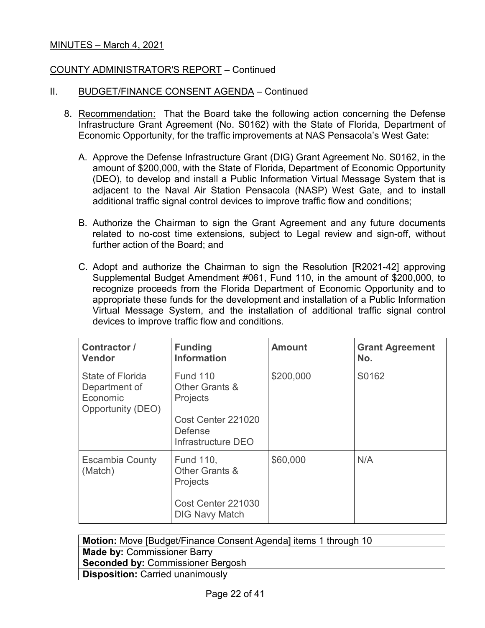## COUNTY ADMINISTRATOR'S REPORT – Continued

- II. BUDGET/FINANCE CONSENT AGENDA Continued
	- 8. Recommendation: That the Board take the following action concerning the Defense Infrastructure Grant Agreement (No. S0162) with the State of Florida, Department of Economic Opportunity, for the traffic improvements at NAS Pensacola's West Gate:
		- A. Approve the Defense Infrastructure Grant (DIG) Grant Agreement No. S0162, in the amount of \$200,000, with the State of Florida, Department of Economic Opportunity (DEO), to develop and install a Public Information Virtual Message System that is adjacent to the Naval Air Station Pensacola (NASP) West Gate, and to install additional traffic signal control devices to improve traffic flow and conditions;
		- B. Authorize the Chairman to sign the Grant Agreement and any future documents related to no-cost time extensions, subject to Legal review and sign-off, without further action of the Board; and
		- C. Adopt and authorize the Chairman to sign the Resolution [R2021-42] approving Supplemental Budget Amendment #061, Fund 110, in the amount of \$200,000, to recognize proceeds from the Florida Department of Economic Opportunity and to appropriate these funds for the development and installation of a Public Information Virtual Message System, and the installation of additional traffic signal control devices to improve traffic flow and conditions.

| Contractor /<br><b>Vendor</b>                                      | <b>Funding</b><br><b>Information</b>                                                                               | <b>Amount</b> | <b>Grant Agreement</b><br>No. |
|--------------------------------------------------------------------|--------------------------------------------------------------------------------------------------------------------|---------------|-------------------------------|
| State of Florida<br>Department of<br>Economic<br>Opportunity (DEO) | <b>Fund 110</b><br>Other Grants &<br><b>Projects</b><br>Cost Center 221020<br><b>Defense</b><br>Infrastructure DEO | \$200,000     | S0162                         |
| <b>Escambia County</b><br>(Match)                                  | <b>Fund 110,</b><br>Other Grants &<br><b>Projects</b><br>Cost Center 221030<br><b>DIG Navy Match</b>               | \$60,000      | N/A                           |

| <b>Motion:</b> Move [Budget/Finance Consent Agenda] items 1 through 10 |  |  |
|------------------------------------------------------------------------|--|--|
| <b>Made by: Commissioner Barry</b>                                     |  |  |
| <b>Seconded by: Commissioner Bergosh</b>                               |  |  |
| <b>Disposition: Carried unanimously</b>                                |  |  |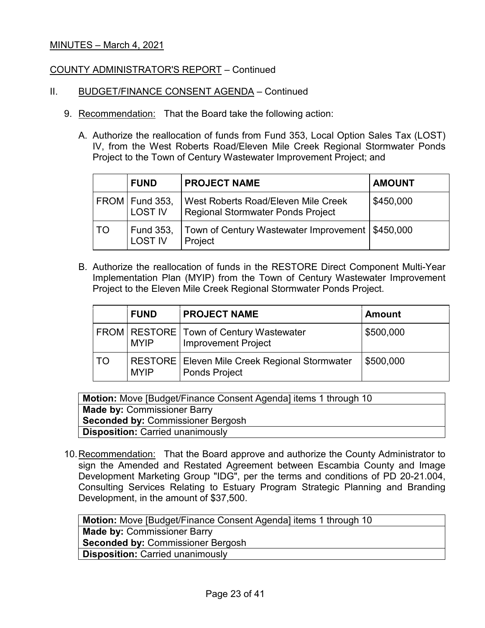### COUNTY ADMINISTRATOR'S REPORT – Continued

- II. BUDGET/FINANCE CONSENT AGENDA Continued
	- 9. Recommendation: That the Board take the following action:
		- A. Authorize the reallocation of funds from Fund 353, Local Option Sales Tax (LOST) IV, from the West Roberts Road/Eleven Mile Creek Regional Stormwater Ponds Project to the Town of Century Wastewater Improvement Project; and

|    | <b>FUND</b>                        | <b>PROJECT NAME</b>                                                      | <b>AMOUNT</b> |
|----|------------------------------------|--------------------------------------------------------------------------|---------------|
|    | FROM   Fund 353,<br><b>LOST IV</b> | West Roberts Road/Eleven Mile Creek<br>Regional Stormwater Ponds Project | \$450,000     |
| TO | Fund 353,<br><b>LOST IV</b>        | Town of Century Wastewater Improvement   \$450,000<br>Project            |               |

B. Authorize the reallocation of funds in the RESTORE Direct Component Multi-Year Implementation Plan (MYIP) from the Town of Century Wastewater Improvement Project to the Eleven Mile Creek Regional Stormwater Ponds Project.

|    | <b>FUND</b> | <b>PROJECT NAME</b>                                                       | <b>Amount</b> |
|----|-------------|---------------------------------------------------------------------------|---------------|
|    | <b>MYIP</b> | FROM   RESTORE   Town of Century Wastewater<br><b>Improvement Project</b> | \$500,000     |
| TO | <b>MYIP</b> | RESTORE   Eleven Mile Creek Regional Stormwater<br><b>Ponds Project</b>   | \$500,000     |

**Motion:** Move [Budget/Finance Consent Agenda] items 1 through 10 **Made by:** Commissioner Barry **Seconded by:** Commissioner Bergosh **Disposition:** Carried unanimously

10.Recommendation: That the Board approve and authorize the County Administrator to sign the Amended and Restated Agreement between Escambia County and Image Development Marketing Group "IDG", per the terms and conditions of PD 20-21.004, Consulting Services Relating to Estuary Program Strategic Planning and Branding Development, in the amount of \$37,500.

| <b>Motion:</b> Move [Budget/Finance Consent Agenda] items 1 through 10 |  |  |
|------------------------------------------------------------------------|--|--|
| <b>Made by: Commissioner Barry</b>                                     |  |  |
| <b>Seconded by: Commissioner Bergosh</b>                               |  |  |
| <b>Disposition: Carried unanimously</b>                                |  |  |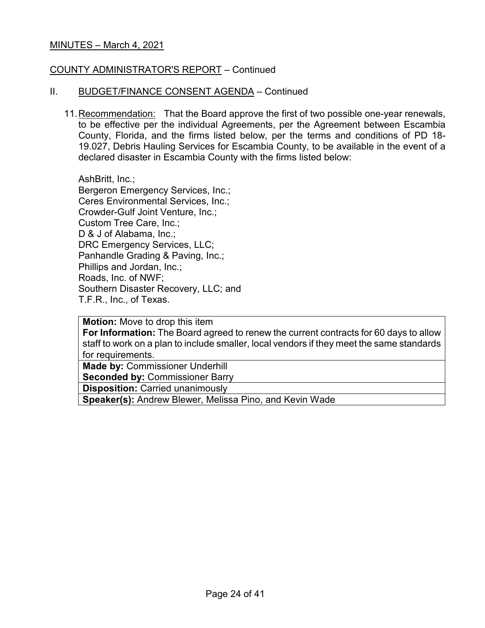#### COUNTY ADMINISTRATOR'S REPORT – Continued

#### II. BUDGET/FINANCE CONSENT AGENDA – Continued

11.Recommendation: That the Board approve the first of two possible one-year renewals, to be effective per the individual Agreements, per the Agreement between Escambia County, Florida, and the firms listed below, per the terms and conditions of PD 18- 19.027, Debris Hauling Services for Escambia County, to be available in the event of a declared disaster in Escambia County with the firms listed below:

AshBritt, Inc.; Bergeron Emergency Services, Inc.; Ceres Environmental Services, Inc.; Crowder-Gulf Joint Venture, Inc.; Custom Tree Care, Inc.; D & J of Alabama, Inc.; DRC Emergency Services, LLC; Panhandle Grading & Paving, Inc.; Phillips and Jordan, Inc.; Roads, Inc. of NWF; Southern Disaster Recovery, LLC; and T.F.R., Inc., of Texas.

**Motion:** Move to drop this item **For Information:** The Board agreed to renew the current contracts for 60 days to allow staff to work on a plan to include smaller, local vendors if they meet the same standards for requirements.

**Made by:** Commissioner Underhill

**Seconded by:** Commissioner Barry

**Disposition:** Carried unanimously

**Speaker(s):** Andrew Blewer, Melissa Pino, and Kevin Wade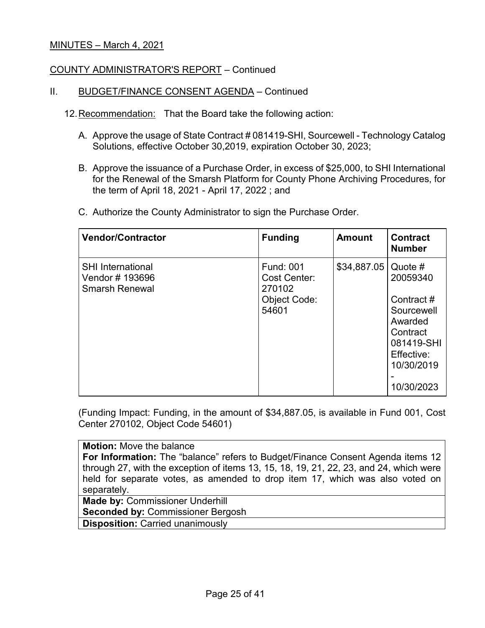### COUNTY ADMINISTRATOR'S REPORT – Continued

### II. BUDGET/FINANCE CONSENT AGENDA – Continued

- 12.Recommendation: That the Board take the following action:
	- A. Approve the usage of State Contract # 081419-SHI, Sourcewell Technology Catalog Solutions, effective October 30,2019, expiration October 30, 2023;
	- B. Approve the issuance of a Purchase Order, in excess of \$25,000, to SHI International for the Renewal of the Smarsh Platform for County Phone Archiving Procedures, for the term of April 18, 2021 - April 17, 2022 ; and
	- C. Authorize the County Administrator to sign the Purchase Order.

| <b>Vendor/Contractor</b>                                             | <b>Funding</b>                                                             | <b>Amount</b> | <b>Contract</b><br><b>Number</b>                                                                                                |
|----------------------------------------------------------------------|----------------------------------------------------------------------------|---------------|---------------------------------------------------------------------------------------------------------------------------------|
| <b>SHI International</b><br>Vendor # 193696<br><b>Smarsh Renewal</b> | <b>Fund: 001</b><br>Cost Center:<br>270102<br><b>Object Code:</b><br>54601 | \$34,887.05   | Quote $#$<br>20059340<br>Contract#<br>Sourcewell<br>Awarded<br>Contract<br>081419-SHI<br>Effective:<br>10/30/2019<br>10/30/2023 |

(Funding Impact: Funding, in the amount of \$34,887.05, is available in Fund 001, Cost Center 270102, Object Code 54601)

**Motion:** Move the balance **For Information:** The "balance" refers to Budget/Finance Consent Agenda items 12 through 27, with the exception of items 13, 15, 18, 19, 21, 22, 23, and 24, which were held for separate votes, as amended to drop item 17, which was also voted on separately. **Made by:** Commissioner Underhill

**Seconded by:** Commissioner Bergosh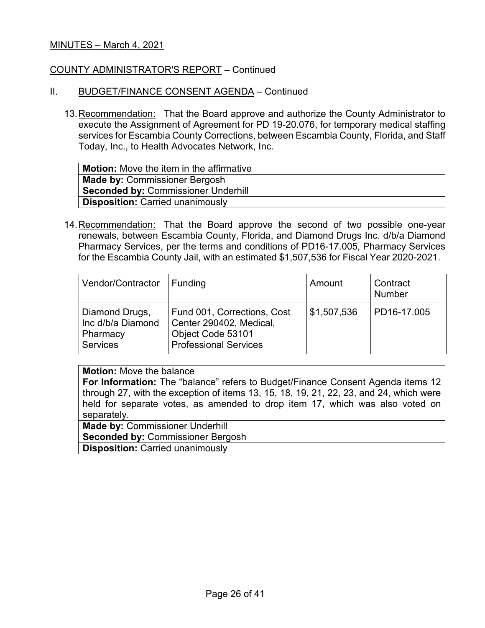#### COUNTY ADMINISTRATOR'S REPORT – Continued

- II. BUDGET/FINANCE CONSENT AGENDA Continued
	- 13.Recommendation: That the Board approve and authorize the County Administrator to execute the Assignment of Agreement for PD 19-20.076, for temporary medical staffing services for Escambia County Corrections, between Escambia County, Florida, and Staff Today, Inc., to Health Advocates Network, Inc.

**Motion:** Move the item in the affirmative **Made by:** Commissioner Bergosh **Seconded by:** Commissioner Underhill **Disposition:** Carried unanimously

14.Recommendation: That the Board approve the second of two possible one-year renewals, between Escambia County, Florida, and Diamond Drugs Inc. d/b/a Diamond Pharmacy Services, per the terms and conditions of PD16-17.005, Pharmacy Services for the Escambia County Jail, with an estimated \$1,507,536 for Fiscal Year 2020-2021.

| Vendor/Contractor                                                  | Funding                                                                                                     | Amount      | Contract<br><b>Number</b> |
|--------------------------------------------------------------------|-------------------------------------------------------------------------------------------------------------|-------------|---------------------------|
| Diamond Drugs,<br>Inc d/b/a Diamond<br>Pharmacy<br><b>Services</b> | Fund 001, Corrections, Cost<br>Center 290402, Medical,<br>Object Code 53101<br><b>Professional Services</b> | \$1,507,536 | PD16-17.005               |

#### **Motion:** Move the balance

**For Information:** The "balance" refers to Budget/Finance Consent Agenda items 12 through 27, with the exception of items 13, 15, 18, 19, 21, 22, 23, and 24, which were held for separate votes, as amended to drop item 17, which was also voted on separately.

**Made by:** Commissioner Underhill **Seconded by:** Commissioner Bergosh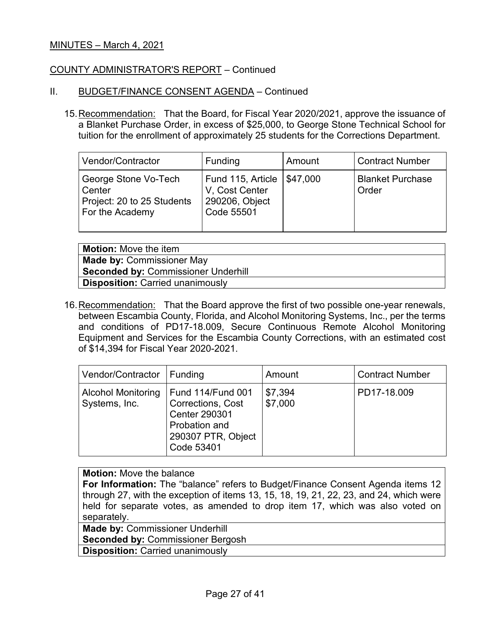### COUNTY ADMINISTRATOR'S REPORT – Continued

#### II. BUDGET/FINANCE CONSENT AGENDA – Continued

15.Recommendation: That the Board, for Fiscal Year 2020/2021, approve the issuance of a Blanket Purchase Order, in excess of \$25,000, to George Stone Technical School for tuition for the enrollment of approximately 25 students for the Corrections Department.

| Vendor/Contractor                                                               | Funding                                                             | Amount   | Contract Number                  |
|---------------------------------------------------------------------------------|---------------------------------------------------------------------|----------|----------------------------------|
| George Stone Vo-Tech<br>Center<br>Project: 20 to 25 Students<br>For the Academy | Fund 115, Article<br>V. Cost Center<br>290206, Object<br>Code 55501 | \$47,000 | <b>Blanket Purchase</b><br>Order |

**Motion:** Move the item **Made by:** Commissioner May **Seconded by:** Commissioner Underhill **Disposition:** Carried unanimously

16. Recommendation: That the Board approve the first of two possible one-year renewals, between Escambia County, Florida, and Alcohol Monitoring Systems, Inc., per the terms and conditions of PD17-18.009, Secure Continuous Remote Alcohol Monitoring Equipment and Services for the Escambia County Corrections, with an estimated cost of \$14,394 for Fiscal Year 2020-2021.

| Vendor/Contractor                          | Funding                                                                                                                           | Amount             | <b>Contract Number</b> |
|--------------------------------------------|-----------------------------------------------------------------------------------------------------------------------------------|--------------------|------------------------|
| <b>Alcohol Monitoring</b><br>Systems, Inc. | <b>Fund 114/Fund 001</b><br><b>Corrections, Cost</b><br><b>Center 290301</b><br>Probation and<br>290307 PTR, Object<br>Code 53401 | \$7,394<br>\$7,000 | PD17-18.009            |

## **Motion:** Move the balance

**For Information:** The "balance" refers to Budget/Finance Consent Agenda items 12 through 27, with the exception of items 13, 15, 18, 19, 21, 22, 23, and 24, which were held for separate votes, as amended to drop item 17, which was also voted on separately.

**Made by:** Commissioner Underhill

**Seconded by:** Commissioner Bergosh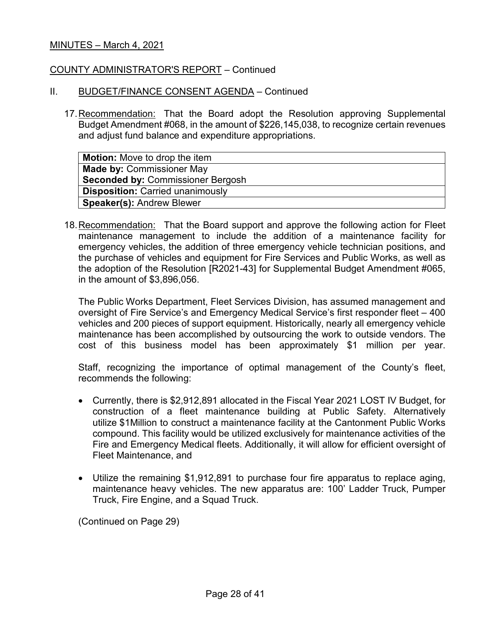#### COUNTY ADMINISTRATOR'S REPORT – Continued

#### II. BUDGET/FINANCE CONSENT AGENDA – Continued

17.Recommendation: That the Board adopt the Resolution approving Supplemental Budget Amendment #068, in the amount of \$226,145,038, to recognize certain revenues and adjust fund balance and expenditure appropriations.

| <b>Motion:</b> Move to drop the item     |
|------------------------------------------|
| <b>Made by: Commissioner May</b>         |
| <b>Seconded by: Commissioner Bergosh</b> |
| <b>Disposition: Carried unanimously</b>  |
| <b>Speaker(s): Andrew Blewer</b>         |

18.Recommendation: That the Board support and approve the following action for Fleet maintenance management to include the addition of a maintenance facility for emergency vehicles, the addition of three emergency vehicle technician positions, and the purchase of vehicles and equipment for Fire Services and Public Works, as well as the adoption of the Resolution [R2021-43] for Supplemental Budget Amendment #065, in the amount of \$3,896,056.

The Public Works Department, Fleet Services Division, has assumed management and oversight of Fire Service's and Emergency Medical Service's first responder fleet – 400 vehicles and 200 pieces of support equipment. Historically, nearly all emergency vehicle maintenance has been accomplished by outsourcing the work to outside vendors. The cost of this business model has been approximately \$1 million per year.

Staff, recognizing the importance of optimal management of the County's fleet, recommends the following:

- Currently, there is \$2,912,891 allocated in the Fiscal Year 2021 LOST IV Budget, for construction of a fleet maintenance building at Public Safety. Alternatively utilize \$1Million to construct a maintenance facility at the Cantonment Public Works compound. This facility would be utilized exclusively for maintenance activities of the Fire and Emergency Medical fleets. Additionally, it will allow for efficient oversight of Fleet Maintenance, and
- Utilize the remaining \$1,912,891 to purchase four fire apparatus to replace aging, maintenance heavy vehicles. The new apparatus are: 100' Ladder Truck, Pumper Truck, Fire Engine, and a Squad Truck.

(Continued on Page 29)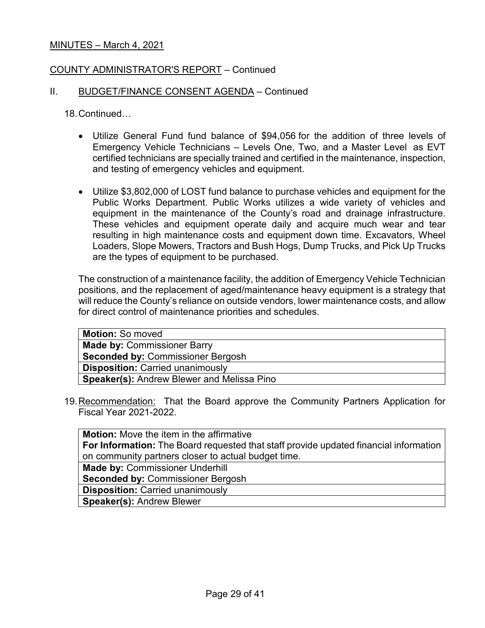## COUNTY ADMINISTRATOR'S REPORT – Continued

#### II. BUDGET/FINANCE CONSENT AGENDA – Continued

18.Continued…

- Utilize General Fund fund balance of \$94,056 for the addition of three levels of Emergency Vehicle Technicians – Levels One, Two, and a Master Level as EVT certified technicians are specially trained and certified in the maintenance, inspection, and testing of emergency vehicles and equipment.
- Utilize \$3,802,000 of LOST fund balance to purchase vehicles and equipment for the Public Works Department. Public Works utilizes a wide variety of vehicles and equipment in the maintenance of the County's road and drainage infrastructure. These vehicles and equipment operate daily and acquire much wear and tear resulting in high maintenance costs and equipment down time. Excavators, Wheel Loaders, Slope Mowers, Tractors and Bush Hogs, Dump Trucks, and Pick Up Trucks are the types of equipment to be purchased.

The construction of a maintenance facility, the addition of Emergency Vehicle Technician positions, and the replacement of aged/maintenance heavy equipment is a strategy that will reduce the County's reliance on outside vendors, lower maintenance costs, and allow for direct control of maintenance priorities and schedules.

| <b>Motion: So moved</b>                           |
|---------------------------------------------------|
| <b>Made by: Commissioner Barry</b>                |
| <b>Seconded by: Commissioner Bergosh</b>          |
| <b>Disposition: Carried unanimously</b>           |
| <b>Speaker(s): Andrew Blewer and Melissa Pino</b> |
|                                                   |

19.Recommendation: That the Board approve the Community Partners Application for Fiscal Year 2021-2022.

| <b>Motion:</b> Move the item in the affirmative                                              |
|----------------------------------------------------------------------------------------------|
| <b>For Information:</b> The Board requested that staff provide updated financial information |
| on community partners closer to actual budget time.                                          |
| <b>Made by: Commissioner Underhill</b>                                                       |
| <b>Seconded by: Commissioner Bergosh</b>                                                     |
| <b>Disposition: Carried unanimously</b>                                                      |
| <b>Speaker(s): Andrew Blewer</b>                                                             |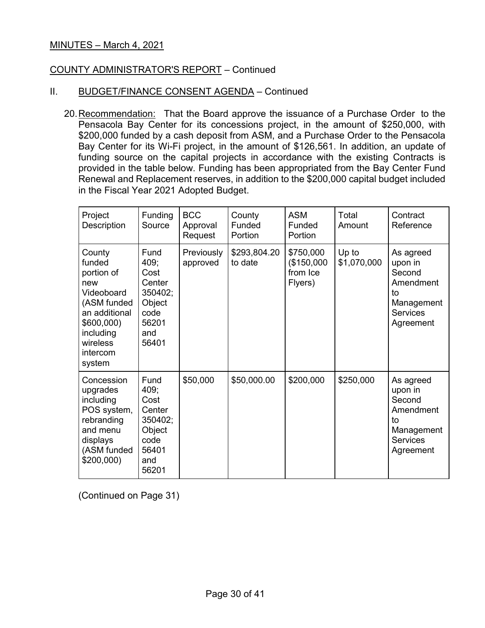## COUNTY ADMINISTRATOR'S REPORT – Continued

### II. BUDGET/FINANCE CONSENT AGENDA - Continued

20.Recommendation: That the Board approve the issuance of a Purchase Order to the Pensacola Bay Center for its concessions project, in the amount of \$250,000, with \$200,000 funded by a cash deposit from ASM, and a Purchase Order to the Pensacola Bay Center for its Wi-Fi project, in the amount of \$126,561. In addition, an update of funding source on the capital projects in accordance with the existing Contracts is provided in the table below. Funding has been appropriated from the Bay Center Fund Renewal and Replacement reserves, in addition to the \$200,000 capital budget included in the Fiscal Year 2021 Adopted Budget.

| Project<br>Description                                                                                                                          | <b>Funding</b><br>Source                                                             | <b>BCC</b><br>Approval<br>Request | County<br>Funded<br>Portion | <b>ASM</b><br>Funded<br>Portion                | Total<br>Amount      | Contract<br>Reference                                                                           |
|-------------------------------------------------------------------------------------------------------------------------------------------------|--------------------------------------------------------------------------------------|-----------------------------------|-----------------------------|------------------------------------------------|----------------------|-------------------------------------------------------------------------------------------------|
| County<br>funded<br>portion of<br>new<br>Videoboard<br>(ASM funded<br>an additional<br>\$600,000<br>including<br>wireless<br>intercom<br>system | Fund<br>409;<br>Cost<br>Center<br>350402;<br>Object<br>code<br>56201<br>and<br>56401 | Previously<br>approved            | \$293,804.20<br>to date     | \$750,000<br>(\$150,000<br>from Ice<br>Flyers) | Up to<br>\$1,070,000 | As agreed<br>upon in<br>Second<br>Amendment<br>to<br>Management<br><b>Services</b><br>Agreement |
| Concession<br>upgrades<br>including<br>POS system,<br>rebranding<br>and menu<br>displays<br>(ASM funded<br>\$200,000                            | Fund<br>409;<br>Cost<br>Center<br>350402;<br>Object<br>code<br>56401<br>and<br>56201 | \$50,000                          | \$50,000.00                 | \$200,000                                      | \$250,000            | As agreed<br>upon in<br>Second<br>Amendment<br>to<br>Management<br><b>Services</b><br>Agreement |

(Continued on Page 31)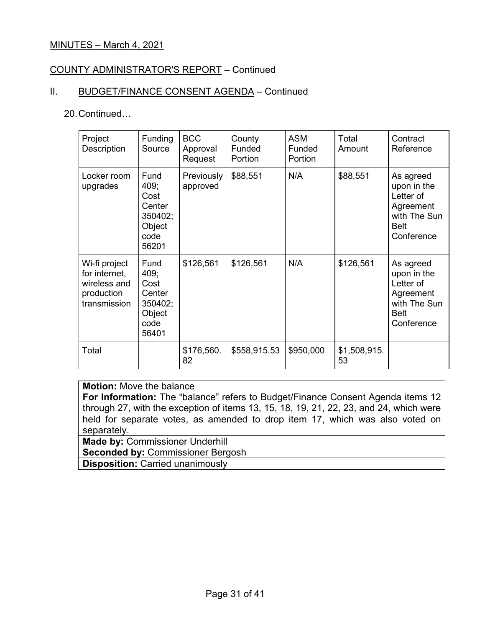## COUNTY ADMINISTRATOR'S REPORT – Continued

## II. BUDGET/FINANCE CONSENT AGENDA - Continued

#### 20.Continued…

| Project<br>Description                                                       | Funding<br>Source                                                    | <b>BCC</b><br>Approval<br>Request | County<br>Funded<br>Portion | <b>ASM</b><br>Funded<br>Portion | Total<br>Amount    | Contract<br>Reference                                                                           |
|------------------------------------------------------------------------------|----------------------------------------------------------------------|-----------------------------------|-----------------------------|---------------------------------|--------------------|-------------------------------------------------------------------------------------------------|
| Locker room<br>upgrades                                                      | Fund<br>409;<br>Cost<br>Center<br>350402;<br>Object<br>code<br>56201 | Previously<br>approved            | \$88,551                    | N/A                             | \$88,551           | As agreed<br>upon in the<br>Letter of<br>Agreement<br>with The Sun<br><b>Belt</b><br>Conference |
| Wi-fi project<br>for internet,<br>wireless and<br>production<br>transmission | Fund<br>409;<br>Cost<br>Center<br>350402;<br>Object<br>code<br>56401 | \$126,561                         | \$126,561                   | N/A                             | \$126,561          | As agreed<br>upon in the<br>Letter of<br>Agreement<br>with The Sun<br><b>Belt</b><br>Conference |
| Total                                                                        |                                                                      | \$176,560.<br>82                  | \$558,915.53                | \$950,000                       | \$1,508,915.<br>53 |                                                                                                 |

# **Motion:** Move the balance

**For Information:** The "balance" refers to Budget/Finance Consent Agenda items 12 through 27, with the exception of items 13, 15, 18, 19, 21, 22, 23, and 24, which were held for separate votes, as amended to drop item 17, which was also voted on separately.

**Made by: Commissioner Underhill Seconded by:** Commissioner Bergosh **Disposition:** Carried unanimously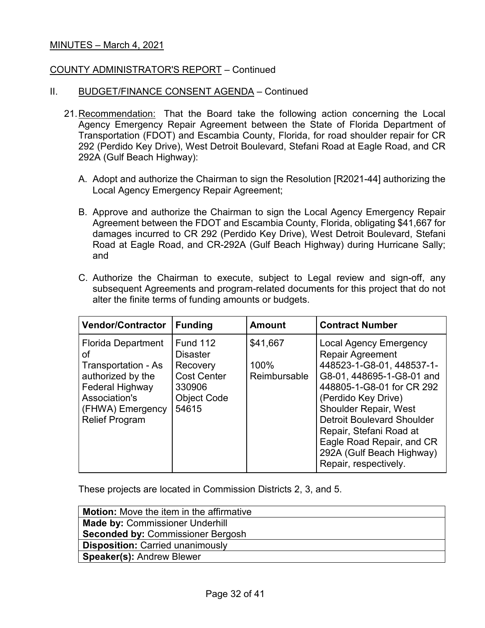#### COUNTY ADMINISTRATOR'S REPORT – Continued

#### II. BUDGET/FINANCE CONSENT AGENDA – Continued

- 21.Recommendation: That the Board take the following action concerning the Local Agency Emergency Repair Agreement between the State of Florida Department of Transportation (FDOT) and Escambia County, Florida, for road shoulder repair for CR 292 (Perdido Key Drive), West Detroit Boulevard, Stefani Road at Eagle Road, and CR 292A (Gulf Beach Highway):
	- A. Adopt and authorize the Chairman to sign the Resolution [R2021-44] authorizing the Local Agency Emergency Repair Agreement;
	- B. Approve and authorize the Chairman to sign the Local Agency Emergency Repair Agreement between the FDOT and Escambia County, Florida, obligating \$41,667 for damages incurred to CR 292 (Perdido Key Drive), West Detroit Boulevard, Stefani Road at Eagle Road, and CR-292A (Gulf Beach Highway) during Hurricane Sally; and
	- C. Authorize the Chairman to execute, subject to Legal review and sign-off, any subsequent Agreements and program-related documents for this project that do not alter the finite terms of funding amounts or budgets.

| <b>Vendor/Contractor</b>                                                                                                                                     | <b>Funding</b>                                                                                                | <b>Amount</b>                    | <b>Contract Number</b>                                                                                                                                                                                                                                                                                                                                    |
|--------------------------------------------------------------------------------------------------------------------------------------------------------------|---------------------------------------------------------------------------------------------------------------|----------------------------------|-----------------------------------------------------------------------------------------------------------------------------------------------------------------------------------------------------------------------------------------------------------------------------------------------------------------------------------------------------------|
| <b>Florida Department</b><br>οf<br>Transportation - As<br>authorized by the<br>Federal Highway<br>Association's<br>(FHWA) Emergency<br><b>Relief Program</b> | <b>Fund 112</b><br><b>Disaster</b><br>Recovery<br><b>Cost Center</b><br>330906<br><b>Object Code</b><br>54615 | \$41,667<br>100%<br>Reimbursable | <b>Local Agency Emergency</b><br><b>Repair Agreement</b><br>448523-1-G8-01, 448537-1-<br>G8-01, 448695-1-G8-01 and<br>448805-1-G8-01 for CR 292<br>(Perdido Key Drive)<br><b>Shoulder Repair, West</b><br><b>Detroit Boulevard Shoulder</b><br>Repair, Stefani Road at<br>Eagle Road Repair, and CR<br>292A (Gulf Beach Highway)<br>Repair, respectively. |

These projects are located in Commission Districts 2, 3, and 5.

| <b>Motion:</b> Move the item in the affirmative |
|-------------------------------------------------|
| <b>Made by: Commissioner Underhill</b>          |
| <b>Seconded by: Commissioner Bergosh</b>        |
| <b>Disposition: Carried unanimously</b>         |
| <b>Speaker(s): Andrew Blewer</b>                |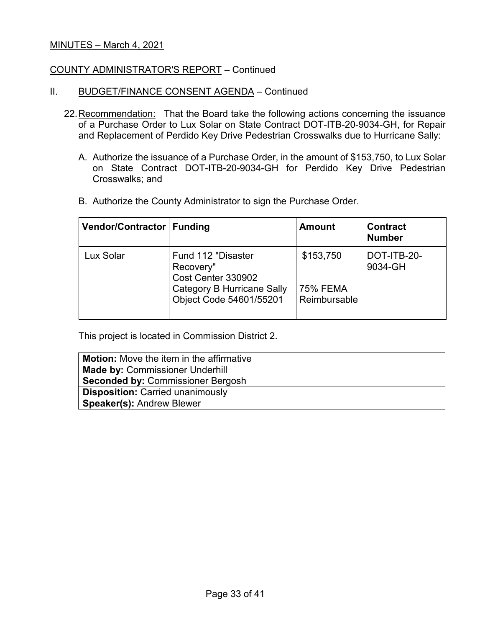#### COUNTY ADMINISTRATOR'S REPORT – Continued

- II. BUDGET/FINANCE CONSENT AGENDA Continued
	- 22.Recommendation: That the Board take the following actions concerning the issuance of a Purchase Order to Lux Solar on State Contract DOT-ITB-20-9034-GH, for Repair and Replacement of Perdido Key Drive Pedestrian Crosswalks due to Hurricane Sally:
		- A. Authorize the issuance of a Purchase Order, in the amount of \$153,750, to Lux Solar on State Contract DOT-ITB-20-9034-GH for Perdido Key Drive Pedestrian Crosswalks; and
		- B. Authorize the County Administrator to sign the Purchase Order.

| Vendor/Contractor   Funding |                                                                                                                       | <b>Amount</b>                                | <b>Contract</b><br><b>Number</b> |
|-----------------------------|-----------------------------------------------------------------------------------------------------------------------|----------------------------------------------|----------------------------------|
| Lux Solar                   | Fund 112 "Disaster<br>Recovery"<br>Cost Center 330902<br><b>Category B Hurricane Sally</b><br>Object Code 54601/55201 | \$153,750<br><b>75% FEMA</b><br>Reimbursable | DOT-ITB-20-<br>9034-GH           |

This project is located in Commission District 2.

| <b>Motion:</b> Move the item in the affirmative |
|-------------------------------------------------|
| <b>Made by: Commissioner Underhill</b>          |
| <b>Seconded by: Commissioner Bergosh</b>        |
| <b>Disposition: Carried unanimously</b>         |
| <b>Speaker(s): Andrew Blewer</b>                |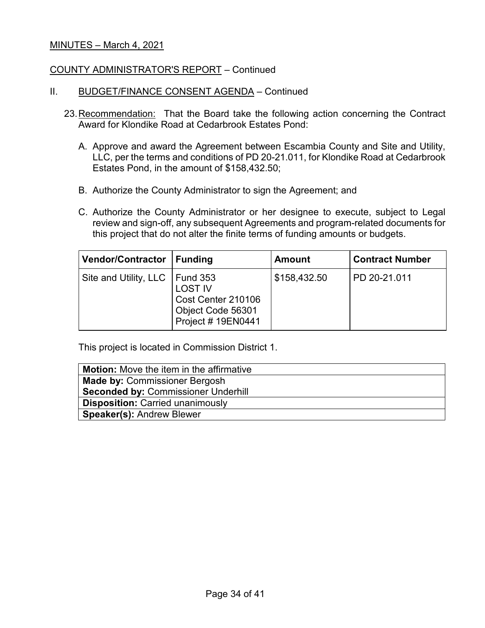#### COUNTY ADMINISTRATOR'S REPORT – Continued

#### II. BUDGET/FINANCE CONSENT AGENDA - Continued

- 23.Recommendation: That the Board take the following action concerning the Contract Award for Klondike Road at Cedarbrook Estates Pond:
	- A. Approve and award the Agreement between Escambia County and Site and Utility, LLC, per the terms and conditions of PD 20-21.011, for Klondike Road at Cedarbrook Estates Pond, in the amount of \$158,432.50;
	- B. Authorize the County Administrator to sign the Agreement; and
	- C. Authorize the County Administrator or her designee to execute, subject to Legal review and sign-off, any subsequent Agreements and program-related documents for this project that do not alter the finite terms of funding amounts or budgets.

| Vendor/Contractor   Funding      |                                                                                 | <b>Amount</b> | <b>Contract Number</b> |
|----------------------------------|---------------------------------------------------------------------------------|---------------|------------------------|
| Site and Utility, LLC   Fund 353 | <b>LOST IV</b><br>Cost Center 210106<br>Object Code 56301<br>Project # 19EN0441 | \$158,432.50  | PD 20-21.011           |

This project is located in Commission District 1.

| <b>Motion:</b> Move the item in the affirmative |
|-------------------------------------------------|
| <b>Made by: Commissioner Bergosh</b>            |
| <b>Seconded by: Commissioner Underhill</b>      |
| <b>Disposition: Carried unanimously</b>         |
| <b>Speaker(s): Andrew Blewer</b>                |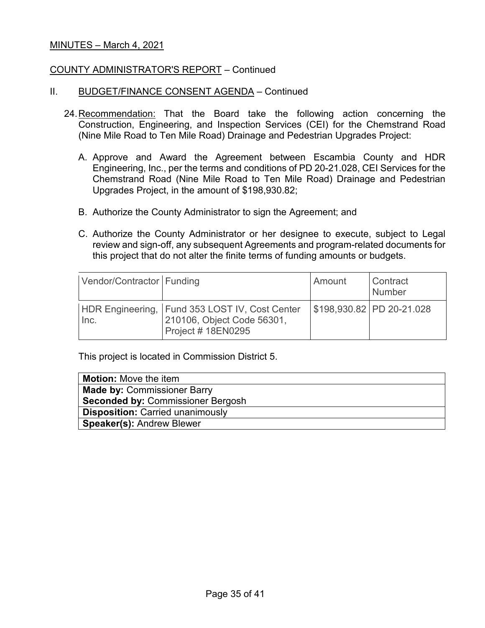#### COUNTY ADMINISTRATOR'S REPORT – Continued

#### II. BUDGET/FINANCE CONSENT AGENDA – Continued

- 24.Recommendation: That the Board take the following action concerning the Construction, Engineering, and Inspection Services (CEI) for the Chemstrand Road (Nine Mile Road to Ten Mile Road) Drainage and Pedestrian Upgrades Project:
	- A. Approve and Award the Agreement between Escambia County and HDR Engineering, Inc., per the terms and conditions of PD 20-21.028, CEI Services for the Chemstrand Road (Nine Mile Road to Ten Mile Road) Drainage and Pedestrian Upgrades Project, in the amount of \$198,930.82;
	- B. Authorize the County Administrator to sign the Agreement; and
	- C. Authorize the County Administrator or her designee to execute, subject to Legal review and sign-off, any subsequent Agreements and program-related documents for this project that do not alter the finite terms of funding amounts or budgets.

| Vendor/Contractor Funding |                                                                                                          | Amount | <b>Contract</b><br>Number |
|---------------------------|----------------------------------------------------------------------------------------------------------|--------|---------------------------|
| Inc.                      | HDR Engineering, Fund 353 LOST IV, Cost Center<br>210106, Object Code 56301,<br><b>Project #18EN0295</b> |        | \$198,930.82 PD 20-21.028 |

This project is located in Commission District 5.

| <b>Motion:</b> Move the item             |
|------------------------------------------|
| <b>Made by: Commissioner Barry</b>       |
| <b>Seconded by: Commissioner Bergosh</b> |
| <b>Disposition: Carried unanimously</b>  |
| <b>Speaker(s): Andrew Blewer</b>         |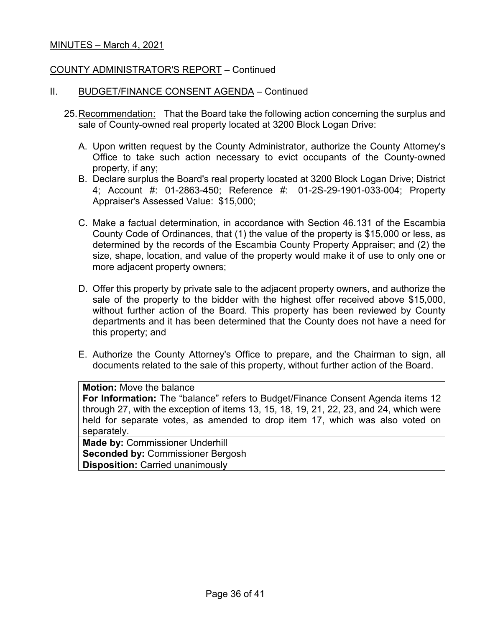#### COUNTY ADMINISTRATOR'S REPORT – Continued

#### II. BUDGET/FINANCE CONSENT AGENDA – Continued

- 25.Recommendation: That the Board take the following action concerning the surplus and sale of County-owned real property located at 3200 Block Logan Drive:
	- A. Upon written request by the County Administrator, authorize the County Attorney's Office to take such action necessary to evict occupants of the County-owned property, if any;
	- B. Declare surplus the Board's real property located at 3200 Block Logan Drive; District 4; Account #: 01-2863-450; Reference #: 01-2S-29-1901-033-004; Property Appraiser's Assessed Value: \$15,000;
	- C. Make a factual determination, in accordance with Section 46.131 of the Escambia County Code of Ordinances, that (1) the value of the property is \$15,000 or less, as determined by the records of the Escambia County Property Appraiser; and (2) the size, shape, location, and value of the property would make it of use to only one or more adjacent property owners;
	- D. Offer this property by private sale to the adjacent property owners, and authorize the sale of the property to the bidder with the highest offer received above \$15,000, without further action of the Board. This property has been reviewed by County departments and it has been determined that the County does not have a need for this property; and
	- E. Authorize the County Attorney's Office to prepare, and the Chairman to sign, all documents related to the sale of this property, without further action of the Board.

#### **Motion:** Move the balance

**For Information:** The "balance" refers to Budget/Finance Consent Agenda items 12 through 27, with the exception of items 13, 15, 18, 19, 21, 22, 23, and 24, which were held for separate votes, as amended to drop item 17, which was also voted on separately.

**Made by:** Commissioner Underhill **Seconded by:** Commissioner Bergosh **Disposition:** Carried unanimously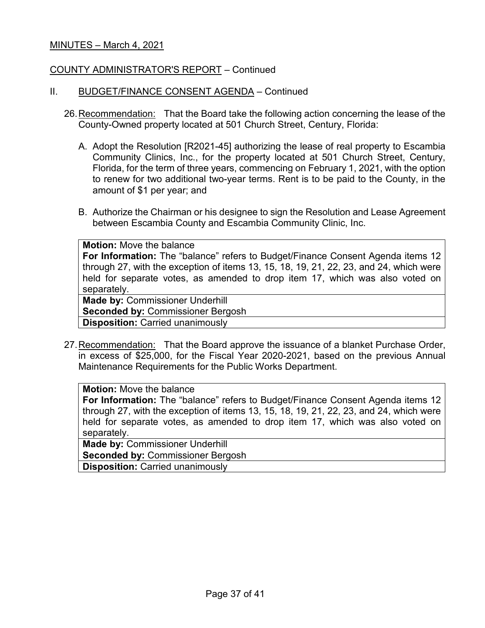#### COUNTY ADMINISTRATOR'S REPORT – Continued

#### II. BUDGET/FINANCE CONSENT AGENDA – Continued

- 26.Recommendation: That the Board take the following action concerning the lease of the County-Owned property located at 501 Church Street, Century, Florida:
	- A. Adopt the Resolution [R2021-45] authorizing the lease of real property to Escambia Community Clinics, Inc., for the property located at 501 Church Street, Century, Florida, for the term of three years, commencing on February 1, 2021, with the option to renew for two additional two-year terms. Rent is to be paid to the County, in the amount of \$1 per year; and
	- B. Authorize the Chairman or his designee to sign the Resolution and Lease Agreement between Escambia County and Escambia Community Clinic, Inc.

| <b>Motion: Move the balance</b>                                                                                                                                                                                                                           |
|-----------------------------------------------------------------------------------------------------------------------------------------------------------------------------------------------------------------------------------------------------------|
| For Information: The "balance" refers to Budget/Finance Consent Agenda items 12<br>through 27, with the exception of items 13, 15, 18, 19, 21, 22, 23, and 24, which were<br>held for separate votes, as amended to drop item 17, which was also voted on |
| separately.                                                                                                                                                                                                                                               |
| <b>Made by: Commissioner Underhill</b>                                                                                                                                                                                                                    |
| <b>Seconded by: Commissioner Bergosh</b>                                                                                                                                                                                                                  |
| <b>Disposition: Carried unanimously</b>                                                                                                                                                                                                                   |

27.Recommendation: That the Board approve the issuance of a blanket Purchase Order, in excess of \$25,000, for the Fiscal Year 2020-2021, based on the previous Annual Maintenance Requirements for the Public Works Department.

#### **Motion:** Move the balance

**For Information:** The "balance" refers to Budget/Finance Consent Agenda items 12 through 27, with the exception of items 13, 15, 18, 19, 21, 22, 23, and 24, which were held for separate votes, as amended to drop item 17, which was also voted on separately.

**Made by:** Commissioner Underhill

**Seconded by:** Commissioner Bergosh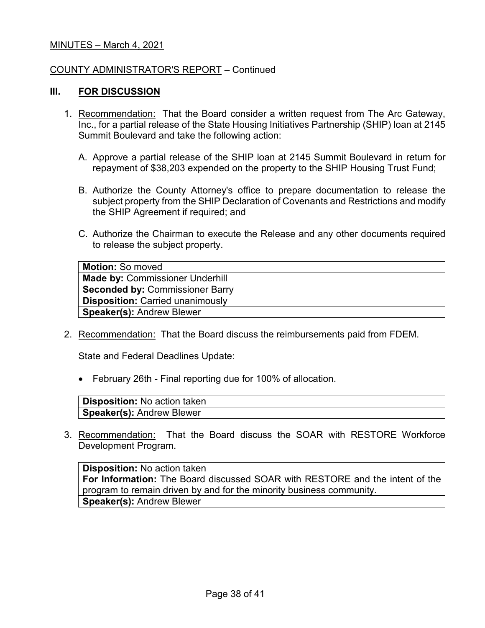#### COUNTY ADMINISTRATOR'S REPORT – Continued

### **III. FOR DISCUSSION**

- 1. Recommendation: That the Board consider a written request from The Arc Gateway, Inc., for a partial release of the State Housing Initiatives Partnership (SHIP) loan at 2145 Summit Boulevard and take the following action:
	- A. Approve a partial release of the SHIP loan at 2145 Summit Boulevard in return for repayment of \$38,203 expended on the property to the SHIP Housing Trust Fund;
	- B. Authorize the County Attorney's office to prepare documentation to release the subject property from the SHIP Declaration of Covenants and Restrictions and modify the SHIP Agreement if required; and
	- C. Authorize the Chairman to execute the Release and any other documents required to release the subject property.

| <b>Motion: So moved</b>                 |
|-----------------------------------------|
| <b>Made by: Commissioner Underhill</b>  |
| <b>Seconded by: Commissioner Barry</b>  |
| <b>Disposition:</b> Carried unanimously |
| <b>Speaker(s): Andrew Blewer</b>        |

2. Recommendation: That the Board discuss the reimbursements paid from FDEM.

State and Federal Deadlines Update:

• February 26th - Final reporting due for 100% of allocation.

| Disposition: No action taken     |  |
|----------------------------------|--|
| <b>Speaker(s): Andrew Blewer</b> |  |

3. Recommendation: That the Board discuss the SOAR with RESTORE Workforce Development Program.

**Disposition:** No action taken **For Information:** The Board discussed SOAR with RESTORE and the intent of the program to remain driven by and for the minority business community. **Speaker(s):** Andrew Blewer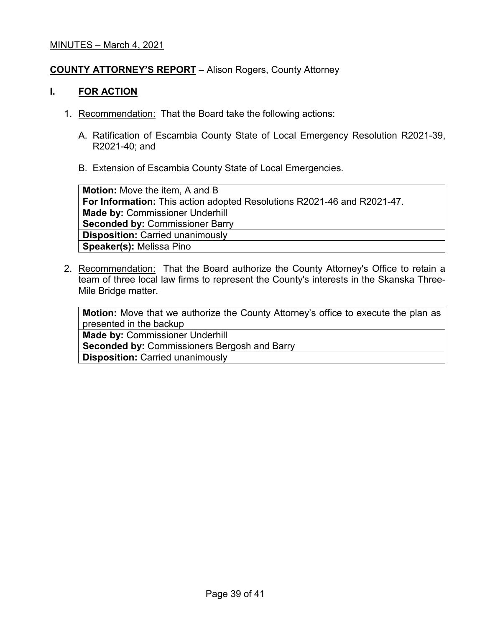# **COUNTY ATTORNEY'S REPORT** – Alison Rogers, County Attorney

## **I. FOR ACTION**

- 1. Recommendation: That the Board take the following actions:
	- A. Ratification of Escambia County State of Local Emergency Resolution R2021-39, R2021-40; and
	- B. Extension of Escambia County State of Local Emergencies.

**Motion:** Move the item, A and B **For Information:** This action adopted Resolutions R2021-46 and R2021-47. **Made by:** Commissioner Underhill **Seconded by:** Commissioner Barry **Disposition:** Carried unanimously **Speaker(s):** Melissa Pino

2. Recommendation: That the Board authorize the County Attorney's Office to retain a team of three local law firms to represent the County's interests in the Skanska Three-Mile Bridge matter.

**Motion:** Move that we authorize the County Attorney's office to execute the plan as presented in the backup

**Made by:** Commissioner Underhill

**Seconded by:** Commissioners Bergosh and Barry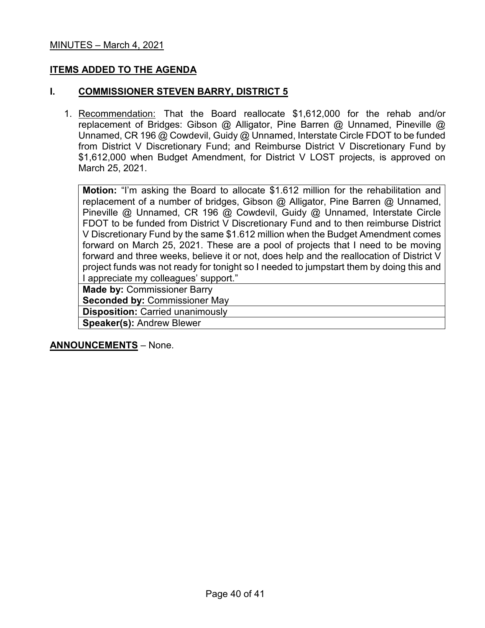## **ITEMS ADDED TO THE AGENDA**

#### **I. COMMISSIONER STEVEN BARRY, DISTRICT 5**

1. Recommendation: That the Board reallocate \$1,612,000 for the rehab and/or replacement of Bridges: Gibson @ Alligator, Pine Barren @ Unnamed, Pineville @ Unnamed, CR 196 @ Cowdevil, Guidy @ Unnamed, Interstate Circle FDOT to be funded from District V Discretionary Fund; and Reimburse District V Discretionary Fund by \$1,612,000 when Budget Amendment, for District V LOST projects, is approved on March 25, 2021.

**Motion:** "I'm asking the Board to allocate \$1.612 million for the rehabilitation and replacement of a number of bridges, Gibson @ Alligator, Pine Barren @ Unnamed, Pineville @ Unnamed, CR 196 @ Cowdevil, Guidy @ Unnamed, Interstate Circle FDOT to be funded from District V Discretionary Fund and to then reimburse District V Discretionary Fund by the same \$1.612 million when the Budget Amendment comes forward on March 25, 2021. These are a pool of projects that I need to be moving forward and three weeks, believe it or not, does help and the reallocation of District V project funds was not ready for tonight so I needed to jumpstart them by doing this and I appreciate my colleagues' support."

**Made by:** Commissioner Barry **Seconded by:** Commissioner May **Disposition:** Carried unanimously **Speaker(s):** Andrew Blewer

**ANNOUNCEMENTS** – None.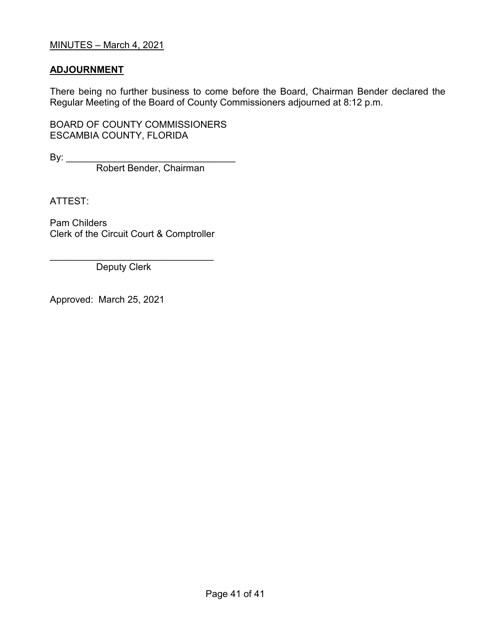# **ADJOURNMENT**

There being no further business to come before the Board, Chairman Bender declared the Regular Meeting of the Board of County Commissioners adjourned at 8:12 p.m.

BOARD OF COUNTY COMMISSIONERS ESCAMBIA COUNTY, FLORIDA

By: \_\_\_\_\_\_\_\_\_\_\_\_\_\_\_\_\_\_\_\_\_\_\_\_\_\_\_\_\_\_\_\_

Robert Bender, Chairman

ATTEST:

Pam Childers Clerk of the Circuit Court & Comptroller

\_\_\_\_\_\_\_\_\_\_\_\_\_\_\_\_\_\_\_\_\_\_\_\_\_\_\_\_\_\_\_ Deputy Clerk

Approved: March 25, 2021